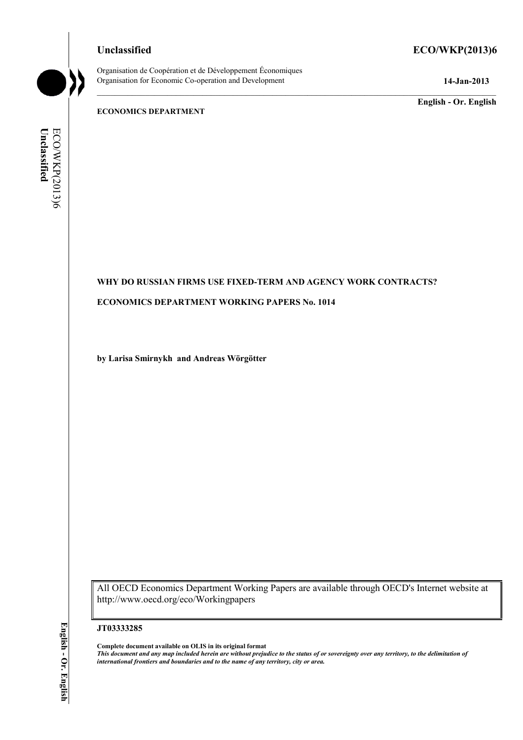Organisation de Coopération et de Développement Économiques Organisation for Economic Co-operation and Development **14-Jan-2013** 

# **Unclassified ECO/WKP(2013)6**

**English - Or. English** 

## **ECONOMICS DEPARTMENT**

Unclassified ECO/WKP(2013)6 **Unclassified**  ECO/WKP(2013)6

## **WHY DO RUSSIAN FIRMS USE FIXED-TERM AND AGENCY WORK CONTRACTS?**

#### **ECONOMICS DEPARTMENT WORKING PAPERS No. 1014**

**by Larisa Smirnykh and Andreas Wörgötter** 

All OECD Economics Department Working Papers are available through OECD's Internet website at http://www.oecd.org/eco/Workingpapers

#### **JT03333285**

**Complete document available on OLIS in its original format**

*This document and any map included herein are without prejudice to the status of or sovereignty over any territory, to the delimitation of international frontiers and boundaries and to the name of any territory, city or area.*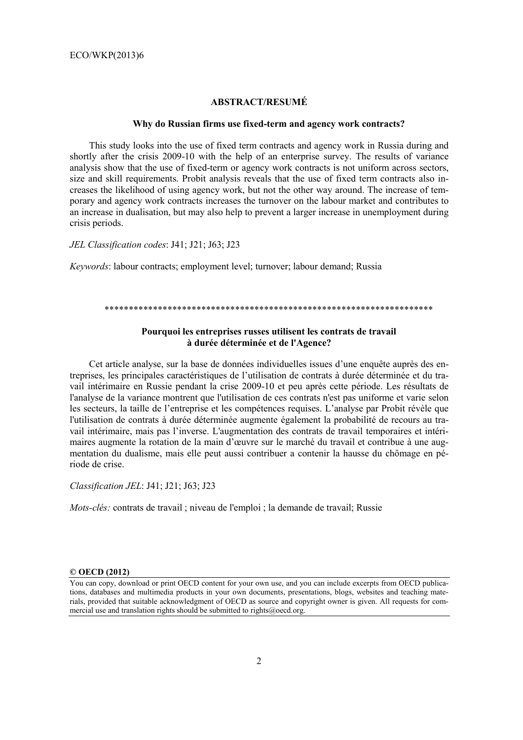## **ABSTRACT/RESUMÉ**

#### **Why do Russian firms use fixed-term and agency work contracts?**

This study looks into the use of fixed term contracts and agency work in Russia during and shortly after the crisis 2009-10 with the help of an enterprise survey. The results of variance analysis show that the use of fixed-term or agency work contracts is not uniform across sectors, size and skill requirements. Probit analysis reveals that the use of fixed term contracts also increases the likelihood of using agency work, but not the other way around. The increase of temporary and agency work contracts increases the turnover on the labour market and contributes to an increase in dualisation, but may also help to prevent a larger increase in unemployment during crisis periods.

*JEL Classification codes*: J41; J21; J63; J23

*Keywords*: labour contracts; employment level; turnover; labour demand; Russia

#### \*\*\*\*\*\*\*\*\*\*\*\*\*\*\*\*\*\*\*\*\*\*\*\*\*\*\*\*\*\*\*\*\*\*\*\*\*\*\*\*\*\*\*\*\*\*\*\*\*\*\*\*\*\*\*\*\*\*\*\*\*\*\*\*\*\*\*\*

## **Pourquoi les entreprises russes utilisent les contrats de travail à durée déterminée et de l'Agence?**

Cet article analyse, sur la base de données individuelles issues d'une enquête auprès des entreprises, les principales caractéristiques de l'utilisation de contrats à durée déterminée et du travail intérimaire en Russie pendant la crise 2009-10 et peu après cette période. Les résultats de l'analyse de la variance montrent que l'utilisation de ces contrats n'est pas uniforme et varie selon les secteurs, la taille de l'entreprise et les compétences requises. L'analyse par Probit révèle que l'utilisation de contrats à durée déterminée augmente également la probabilité de recours au travail intérimaire, mais pas l'inverse. L'augmentation des contrats de travail temporaires et intérimaires augmente la rotation de la main d'œuvre sur le marché du travail et contribue à une augmentation du dualisme, mais elle peut aussi contribuer a contenir la hausse du chômage en période de crise.

*Classification JEL*: J41; J21; J63; J23

*Mots-clés:* contrats de travail ; niveau de l'emploi ; la demande de travail; Russie

#### **© OECD (2012)**

You can copy, download or print OECD content for your own use, and you can include excerpts from OECD publications, databases and multimedia products in your own documents, presentations, blogs, websites and teaching materials, provided that suitable acknowledgment of OECD as source and copyright owner is given. All requests for commercial use and translation rights should be submitted to rights@oecd.org.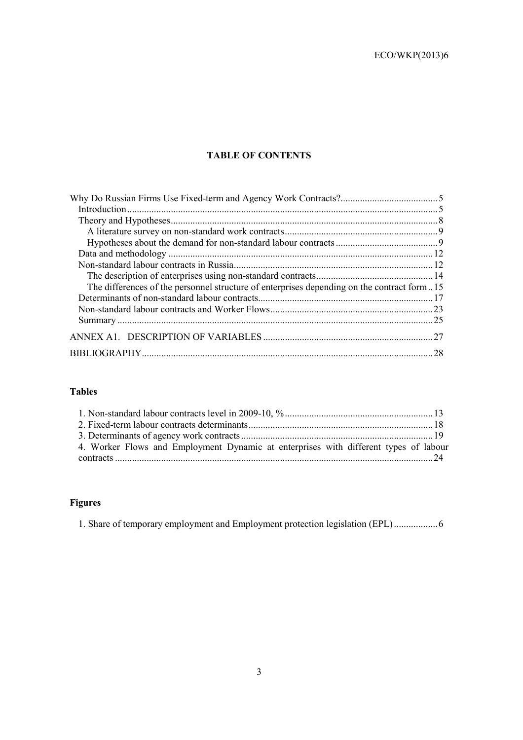# **TABLE OF CONTENTS**

| The differences of the personnel structure of enterprises depending on the contract form15 |    |
|--------------------------------------------------------------------------------------------|----|
|                                                                                            |    |
|                                                                                            |    |
|                                                                                            |    |
|                                                                                            | 27 |
|                                                                                            | 28 |

# **Tables**

| 4. Worker Flows and Employment Dynamic at enterprises with different types of labour |  |
|--------------------------------------------------------------------------------------|--|
|                                                                                      |  |

# **Figures**

1. Share of temporary employment and Employment protection legislation (EPL) .................. 6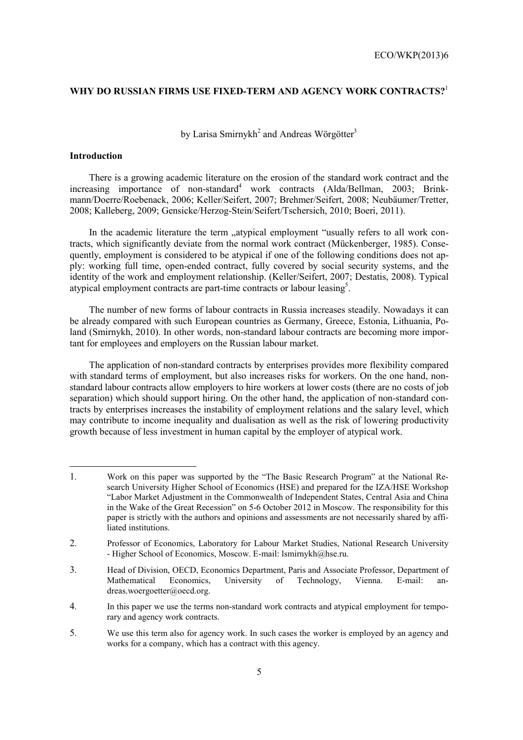# **WHY DO RUSSIAN FIRMS USE FIXED-TERM AND AGENCY WORK CONTRACTS?**<sup>1</sup>

by Larisa Smirnykh<sup>2</sup> and Andreas Wörgötter<sup>3</sup>

#### **Introduction**

l

There is a growing academic literature on the erosion of the standard work contract and the increasing importance of non-standard<sup>4</sup> work contracts (Alda/Bellman, 2003; Brinkmann/Doerre/Roebenack, 2006; Keller/Seifert, 2007; Brehmer/Seifert, 2008; Neubäumer/Tretter, 2008; Kalleberg, 2009; Gensicke/Herzog-Stein/Seifert/Tschersich, 2010; Boeri, 2011).

In the academic literature the term "atypical employment "usually refers to all work contracts, which significantly deviate from the normal work contract (Mückenberger, 1985). Consequently, employment is considered to be atypical if one of the following conditions does not apply: working full time, open-ended contract, fully covered by social security systems, and the identity of the work and employment relationship. (Keller/Seifert, 2007; Destatis, 2008). Typical atypical employment contracts are part-time contracts or labour leasing<sup>5</sup>.

The number of new forms of labour contracts in Russia increases steadily. Nowadays it can be already compared with such European countries as Germany, Greece, Estonia, Lithuania, Poland (Smirnykh, 2010). In other words, non-standard labour contracts are becoming more important for employees and employers on the Russian labour market.

The application of non-standard contracts by enterprises provides more flexibility compared with standard terms of employment, but also increases risks for workers. On the one hand, nonstandard labour contracts allow employers to hire workers at lower costs (there are no costs of job separation) which should support hiring. On the other hand, the application of non-standard contracts by enterprises increases the instability of employment relations and the salary level, which may contribute to income inequality and dualisation as well as the risk of lowering productivity growth because of less investment in human capital by the employer of atypical work.

<sup>1.</sup> Work on this paper was supported by the "The Basic Research Program" at the National Research University Higher School of Economics (HSE) and prepared for the IZA/HSE Workshop "Labor Market Adjustment in the Commonwealth of Independent States, Central Asia and China in the Wake of the Great Recession" on 5-6 October 2012 in Moscow. The responsibility for this paper is strictly with the authors and opinions and assessments are not necessarily shared by affiliated institutions.

<sup>2.</sup> Professor of Economics, Laboratory for Labour Market Studies, National Research University - Higher School of Economics, Moscow. E-mail: lsmirnykh@hse.ru.

<sup>3.</sup> Head of Division, OECD, Economics Department, Paris and Associate Professor, Department of Mathematical Economics, University of Technology, Vienna. E-mail: andreas.woergoetter@oecd.org.

<sup>4.</sup> In this paper we use the terms non-standard work contracts and atypical employment for temporary and agency work contracts.

<sup>5.</sup> We use this term also for agency work. In such cases the worker is employed by an agency and works for a company, which has a contract with this agency.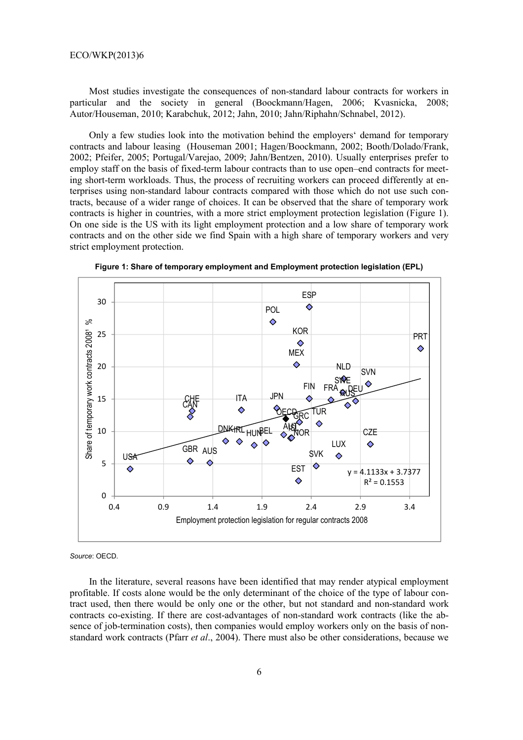Most studies investigate the consequences of non-standard labour contracts for workers in particular and the society in general (Boockmann/Hagen, 2006; Kvasnicka, 2008; Autor/Houseman, 2010; Karabchuk, 2012; Jahn, 2010; Jahn/Riphahn/Schnabel, 2012).

Only a few studies look into the motivation behind the employers' demand for temporary contracts and labour leasing (Houseman 2001; Hagen/Boockmann, 2002; Booth/Dolado/Frank, 2002; Pfeifer, 2005; Portugal/Varejao, 2009; Jahn/Bentzen, 2010). Usually enterprises prefer to employ staff on the basis of fixed-term labour contracts than to use open–end contracts for meeting short-term workloads. Thus, the process of recruiting workers can proceed differently at enterprises using non-standard labour contracts compared with those which do not use such contracts, because of a wider range of choices. It can be observed that the share of temporary work contracts is higher in countries, with a more strict employment protection legislation (Figure 1). On one side is the US with its light employment protection and a low share of temporary work contracts and on the other side we find Spain with a high share of temporary workers and very strict employment protection.



**Figure 1: Share of temporary employment and Employment protection legislation (EPL)** 

*Source*: OECD.

In the literature, several reasons have been identified that may render atypical employment profitable. If costs alone would be the only determinant of the choice of the type of labour contract used, then there would be only one or the other, but not standard and non-standard work contracts co-existing. If there are cost-advantages of non-standard work contracts (like the absence of job-termination costs), then companies would employ workers only on the basis of nonstandard work contracts (Pfarr *et al*., 2004). There must also be other considerations, because we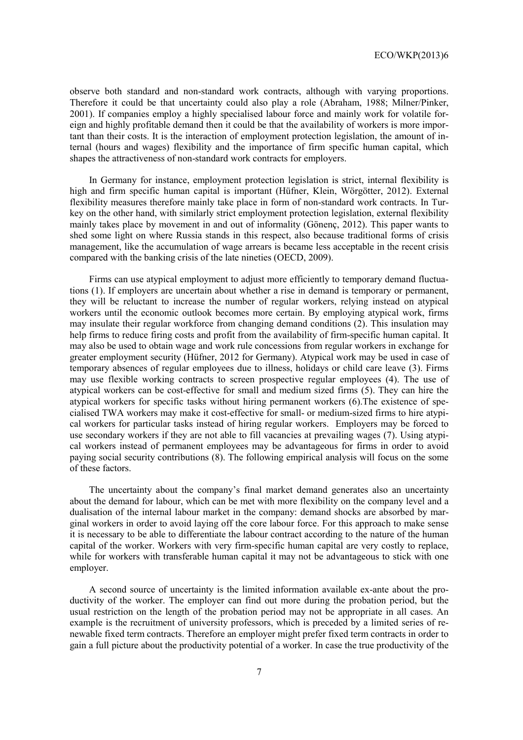observe both standard and non-standard work contracts, although with varying proportions. Therefore it could be that uncertainty could also play a role (Abraham, 1988; Milner/Pinker, 2001). If companies employ a highly specialised labour force and mainly work for volatile foreign and highly profitable demand then it could be that the availability of workers is more important than their costs. It is the interaction of employment protection legislation, the amount of internal (hours and wages) flexibility and the importance of firm specific human capital, which shapes the attractiveness of non-standard work contracts for employers.

In Germany for instance, employment protection legislation is strict, internal flexibility is high and firm specific human capital is important (Hüfner, Klein, Wörgötter, 2012). External flexibility measures therefore mainly take place in form of non-standard work contracts. In Turkey on the other hand, with similarly strict employment protection legislation, external flexibility mainly takes place by movement in and out of informality (Gönenç, 2012). This paper wants to shed some light on where Russia stands in this respect, also because traditional forms of crisis management, like the accumulation of wage arrears is became less acceptable in the recent crisis compared with the banking crisis of the late nineties (OECD, 2009).

Firms can use atypical employment to adjust more efficiently to temporary demand fluctuations (1). If employers are uncertain about whether a rise in demand is temporary or permanent, they will be reluctant to increase the number of regular workers, relying instead on atypical workers until the economic outlook becomes more certain. By employing atypical work, firms may insulate their regular workforce from changing demand conditions (2). This insulation may help firms to reduce firing costs and profit from the availability of firm-specific human capital. It may also be used to obtain wage and work rule concessions from regular workers in exchange for greater employment security (Hüfner, 2012 for Germany). Atypical work may be used in case of temporary absences of regular employees due to illness, holidays or child care leave (3). Firms may use flexible working contracts to screen prospective regular employees (4). The use of atypical workers can be cost-effective for small and medium sized firms (5). They can hire the atypical workers for specific tasks without hiring permanent workers (6).The existence of specialised TWA workers may make it cost-effective for small- or medium-sized firms to hire atypical workers for particular tasks instead of hiring regular workers. Employers may be forced to use secondary workers if they are not able to fill vacancies at prevailing wages (7). Using atypical workers instead of permanent employees may be advantageous for firms in order to avoid paying social security contributions (8). The following empirical analysis will focus on the some of these factors.

The uncertainty about the company's final market demand generates also an uncertainty about the demand for labour, which can be met with more flexibility on the company level and a dualisation of the internal labour market in the company: demand shocks are absorbed by marginal workers in order to avoid laying off the core labour force. For this approach to make sense it is necessary to be able to differentiate the labour contract according to the nature of the human capital of the worker. Workers with very firm-specific human capital are very costly to replace, while for workers with transferable human capital it may not be advantageous to stick with one employer.

A second source of uncertainty is the limited information available ex-ante about the productivity of the worker. The employer can find out more during the probation period, but the usual restriction on the length of the probation period may not be appropriate in all cases. An example is the recruitment of university professors, which is preceded by a limited series of renewable fixed term contracts. Therefore an employer might prefer fixed term contracts in order to gain a full picture about the productivity potential of a worker. In case the true productivity of the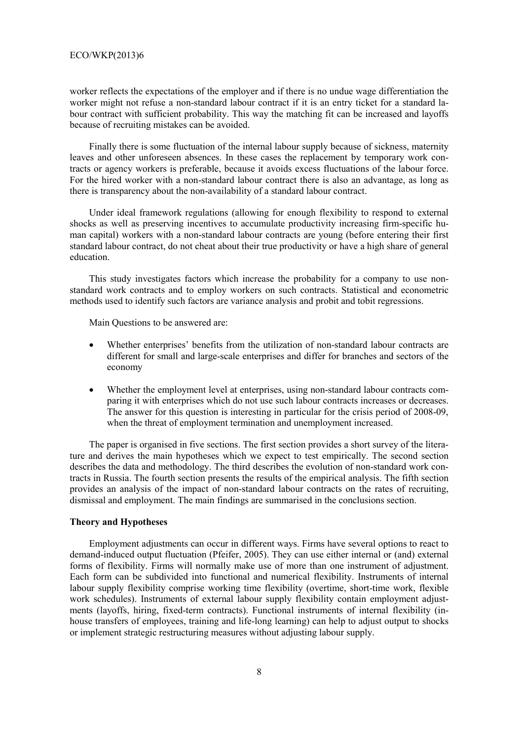worker reflects the expectations of the employer and if there is no undue wage differentiation the worker might not refuse a non-standard labour contract if it is an entry ticket for a standard labour contract with sufficient probability. This way the matching fit can be increased and layoffs because of recruiting mistakes can be avoided.

Finally there is some fluctuation of the internal labour supply because of sickness, maternity leaves and other unforeseen absences. In these cases the replacement by temporary work contracts or agency workers is preferable, because it avoids excess fluctuations of the labour force. For the hired worker with a non-standard labour contract there is also an advantage, as long as there is transparency about the non-availability of a standard labour contract.

Under ideal framework regulations (allowing for enough flexibility to respond to external shocks as well as preserving incentives to accumulate productivity increasing firm-specific human capital) workers with a non-standard labour contracts are young (before entering their first standard labour contract, do not cheat about their true productivity or have a high share of general education.

This study investigates factors which increase the probability for a company to use nonstandard work contracts and to employ workers on such contracts. Statistical and econometric methods used to identify such factors are variance analysis and probit and tobit regressions.

Main Questions to be answered are:

- Whether enterprises' benefits from the utilization of non-standard labour contracts are different for small and large-scale enterprises and differ for branches and sectors of the economy
- Whether the employment level at enterprises, using non-standard labour contracts comparing it with enterprises which do not use such labour contracts increases or decreases. The answer for this question is interesting in particular for the crisis period of 2008-09, when the threat of employment termination and unemployment increased.

The paper is organised in five sections. The first section provides a short survey of the literature and derives the main hypotheses which we expect to test empirically. The second section describes the data and methodology. The third describes the evolution of non-standard work contracts in Russia. The fourth section presents the results of the empirical analysis. The fifth section provides an analysis of the impact of non-standard labour contracts on the rates of recruiting, dismissal and employment. The main findings are summarised in the conclusions section.

#### **Theory and Hypotheses**

Employment adjustments can occur in different ways. Firms have several options to react to demand-induced output fluctuation (Pfeifer, 2005). They can use either internal or (and) external forms of flexibility. Firms will normally make use of more than one instrument of adjustment. Each form can be subdivided into functional and numerical flexibility. Instruments of internal labour supply flexibility comprise working time flexibility (overtime, short-time work, flexible work schedules). Instruments of external labour supply flexibility contain employment adjustments (layoffs, hiring, fixed-term contracts). Functional instruments of internal flexibility (inhouse transfers of employees, training and life-long learning) can help to adjust output to shocks or implement strategic restructuring measures without adjusting labour supply.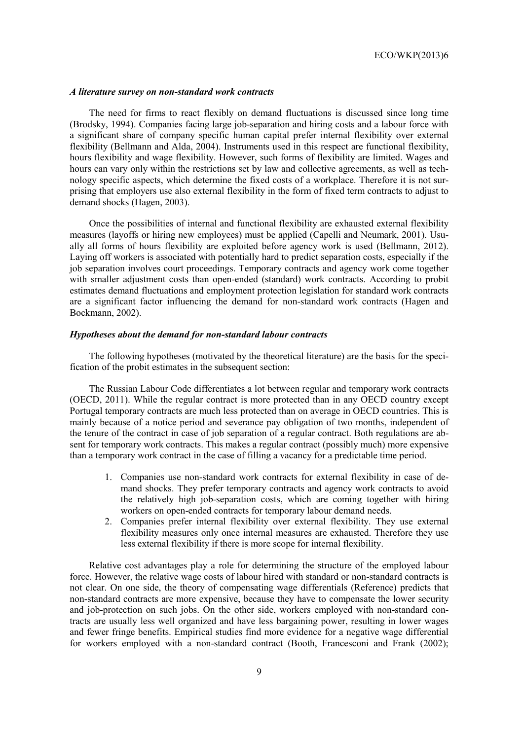#### *A literature survey on non-standard work contracts*

The need for firms to react flexibly on demand fluctuations is discussed since long time (Brodsky, 1994). Companies facing large job-separation and hiring costs and a labour force with a significant share of company specific human capital prefer internal flexibility over external flexibility (Bellmann and Alda, 2004). Instruments used in this respect are functional flexibility, hours flexibility and wage flexibility. However, such forms of flexibility are limited. Wages and hours can vary only within the restrictions set by law and collective agreements, as well as technology specific aspects, which determine the fixed costs of a workplace. Therefore it is not surprising that employers use also external flexibility in the form of fixed term contracts to adjust to demand shocks (Hagen, 2003).

Once the possibilities of internal and functional flexibility are exhausted external flexibility measures (layoffs or hiring new employees) must be applied (Capelli and Neumark, 2001). Usually all forms of hours flexibility are exploited before agency work is used (Bellmann, 2012). Laying off workers is associated with potentially hard to predict separation costs, especially if the job separation involves court proceedings. Temporary contracts and agency work come together with smaller adjustment costs than open-ended (standard) work contracts. According to probit estimates demand fluctuations and employment protection legislation for standard work contracts are a significant factor influencing the demand for non-standard work contracts (Hagen and Bockmann, 2002).

#### *Hypotheses about the demand for non-standard labour contracts*

The following hypotheses (motivated by the theoretical literature) are the basis for the specification of the probit estimates in the subsequent section:

The Russian Labour Code differentiates a lot between regular and temporary work contracts (OECD, 2011). While the regular contract is more protected than in any OECD country except Portugal temporary contracts are much less protected than on average in OECD countries. This is mainly because of a notice period and severance pay obligation of two months, independent of the tenure of the contract in case of job separation of a regular contract. Both regulations are absent for temporary work contracts. This makes a regular contract (possibly much) more expensive than a temporary work contract in the case of filling a vacancy for a predictable time period.

- 1. Companies use non-standard work contracts for external flexibility in case of demand shocks. They prefer temporary contracts and agency work contracts to avoid the relatively high job-separation costs, which are coming together with hiring workers on open-ended contracts for temporary labour demand needs.
- 2. Companies prefer internal flexibility over external flexibility. They use external flexibility measures only once internal measures are exhausted. Therefore they use less external flexibility if there is more scope for internal flexibility.

Relative cost advantages play a role for determining the structure of the employed labour force. However, the relative wage costs of labour hired with standard or non-standard contracts is not clear. On one side, the theory of compensating wage differentials (Reference) predicts that non-standard contracts are more expensive, because they have to compensate the lower security and job-protection on such jobs. On the other side, workers employed with non-standard contracts are usually less well organized and have less bargaining power, resulting in lower wages and fewer fringe benefits. Empirical studies find more evidence for a negative wage differential for workers employed with a non-standard contract (Booth, Francesconi and Frank (2002);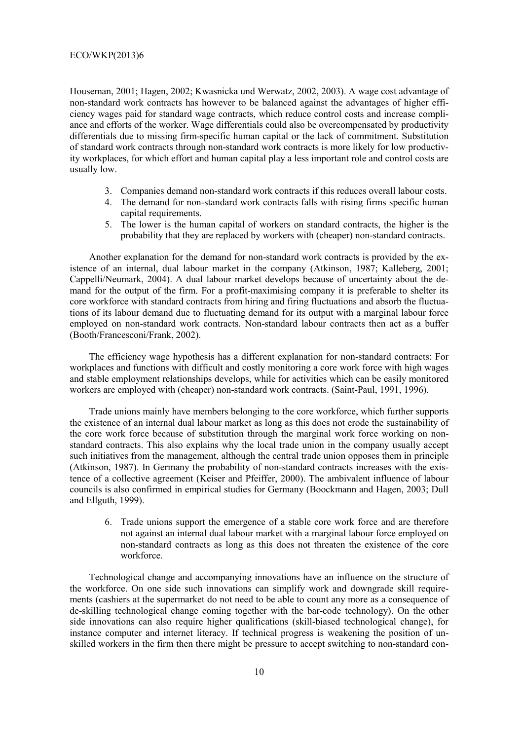Houseman, 2001; Hagen, 2002; Kwasnicka und Werwatz, 2002, 2003). A wage cost advantage of non-standard work contracts has however to be balanced against the advantages of higher efficiency wages paid for standard wage contracts, which reduce control costs and increase compliance and efforts of the worker. Wage differentials could also be overcompensated by productivity differentials due to missing firm-specific human capital or the lack of commitment. Substitution of standard work contracts through non-standard work contracts is more likely for low productivity workplaces, for which effort and human capital play a less important role and control costs are usually low.

- 3. Companies demand non-standard work contracts if this reduces overall labour costs.
- 4. The demand for non-standard work contracts falls with rising firms specific human capital requirements.
- 5. The lower is the human capital of workers on standard contracts, the higher is the probability that they are replaced by workers with (cheaper) non-standard contracts.

Another explanation for the demand for non-standard work contracts is provided by the existence of an internal, dual labour market in the company (Atkinson, 1987; Kalleberg, 2001; Cappelli/Neumark, 2004). A dual labour market develops because of uncertainty about the demand for the output of the firm. For a profit-maximising company it is preferable to shelter its core workforce with standard contracts from hiring and firing fluctuations and absorb the fluctuations of its labour demand due to fluctuating demand for its output with a marginal labour force employed on non-standard work contracts. Non-standard labour contracts then act as a buffer (Booth/Francesconi/Frank, 2002).

The efficiency wage hypothesis has a different explanation for non-standard contracts: For workplaces and functions with difficult and costly monitoring a core work force with high wages and stable employment relationships develops, while for activities which can be easily monitored workers are employed with (cheaper) non-standard work contracts. (Saint-Paul, 1991, 1996).

Trade unions mainly have members belonging to the core workforce, which further supports the existence of an internal dual labour market as long as this does not erode the sustainability of the core work force because of substitution through the marginal work force working on nonstandard contracts. This also explains why the local trade union in the company usually accept such initiatives from the management, although the central trade union opposes them in principle (Atkinson, 1987). In Germany the probability of non-standard contracts increases with the existence of a collective agreement (Keiser and Pfeiffer, 2000). The ambivalent influence of labour councils is also confirmed in empirical studies for Germany (Boockmann and Hagen, 2003; Dull and Ellguth, 1999).

6. Trade unions support the emergence of a stable core work force and are therefore not against an internal dual labour market with a marginal labour force employed on non-standard contracts as long as this does not threaten the existence of the core workforce.

Technological change and accompanying innovations have an influence on the structure of the workforce. On one side such innovations can simplify work and downgrade skill requirements (cashiers at the supermarket do not need to be able to count any more as a consequence of de-skilling technological change coming together with the bar-code technology). On the other side innovations can also require higher qualifications (skill-biased technological change), for instance computer and internet literacy. If technical progress is weakening the position of unskilled workers in the firm then there might be pressure to accept switching to non-standard con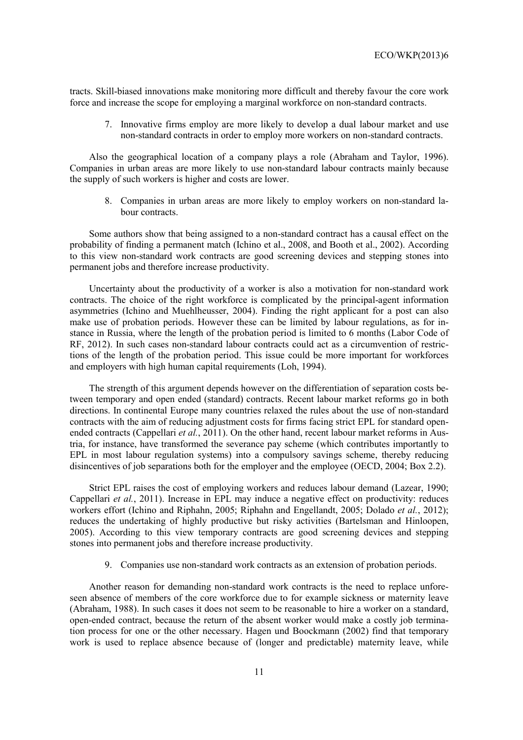tracts. Skill-biased innovations make monitoring more difficult and thereby favour the core work force and increase the scope for employing a marginal workforce on non-standard contracts.

7. Innovative firms employ are more likely to develop a dual labour market and use non-standard contracts in order to employ more workers on non-standard contracts.

Also the geographical location of a company plays a role (Abraham and Taylor, 1996). Companies in urban areas are more likely to use non-standard labour contracts mainly because the supply of such workers is higher and costs are lower.

8. Companies in urban areas are more likely to employ workers on non-standard labour contracts.

Some authors show that being assigned to a non-standard contract has a causal effect on the probability of finding a permanent match (Ichino et al., 2008, and Booth et al., 2002). According to this view non-standard work contracts are good screening devices and stepping stones into permanent jobs and therefore increase productivity.

Uncertainty about the productivity of a worker is also a motivation for non-standard work contracts. The choice of the right workforce is complicated by the principal-agent information asymmetries (Ichino and Muehlheusser, 2004). Finding the right applicant for a post can also make use of probation periods. However these can be limited by labour regulations, as for instance in Russia, where the length of the probation period is limited to 6 months (Labor Code of RF, 2012). In such cases non-standard labour contracts could act as a circumvention of restrictions of the length of the probation period. This issue could be more important for workforces and employers with high human capital requirements (Loh, 1994).

The strength of this argument depends however on the differentiation of separation costs between temporary and open ended (standard) contracts. Recent labour market reforms go in both directions. In continental Europe many countries relaxed the rules about the use of non-standard contracts with the aim of reducing adjustment costs for firms facing strict EPL for standard openended contracts (Cappellari *et al.*, 2011). On the other hand, recent labour market reforms in Austria, for instance, have transformed the severance pay scheme (which contributes importantly to EPL in most labour regulation systems) into a compulsory savings scheme, thereby reducing disincentives of job separations both for the employer and the employee (OECD, 2004; Box 2.2).

Strict EPL raises the cost of employing workers and reduces labour demand (Lazear, 1990; Cappellari *et al.*, 2011). Increase in EPL may induce a negative effect on productivity: reduces workers effort (Ichino and Riphahn, 2005; Riphahn and Engellandt, 2005; Dolado *et al.*, 2012); reduces the undertaking of highly productive but risky activities (Bartelsman and Hinloopen, 2005). According to this view temporary contracts are good screening devices and stepping stones into permanent jobs and therefore increase productivity.

9. Companies use non-standard work contracts as an extension of probation periods.

Another reason for demanding non-standard work contracts is the need to replace unforeseen absence of members of the core workforce due to for example sickness or maternity leave (Abraham, 1988). In such cases it does not seem to be reasonable to hire a worker on a standard, open-ended contract, because the return of the absent worker would make a costly job termination process for one or the other necessary. Hagen und Boockmann (2002) find that temporary work is used to replace absence because of (longer and predictable) maternity leave, while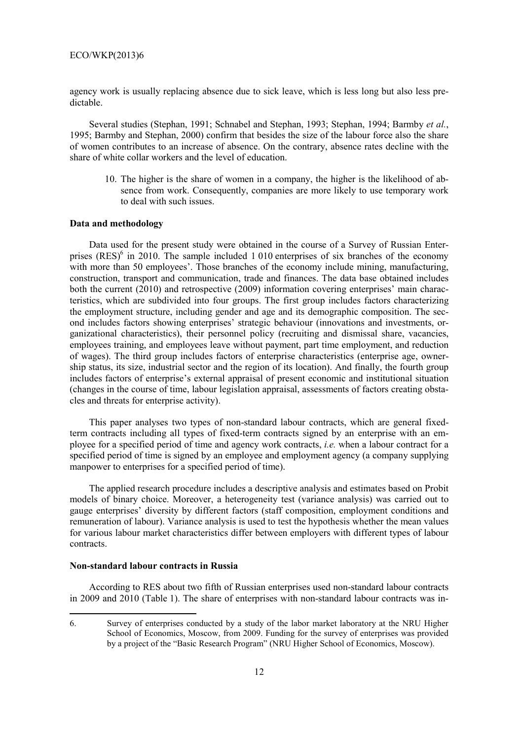agency work is usually replacing absence due to sick leave, which is less long but also less predictable.

Several studies (Stephan, 1991; Schnabel and Stephan, 1993; Stephan, 1994; Barmby *et al.*, 1995; Barmby and Stephan, 2000) confirm that besides the size of the labour force also the share of women contributes to an increase of absence. On the contrary, absence rates decline with the share of white collar workers and the level of education.

10. The higher is the share of women in a company, the higher is the likelihood of absence from work. Consequently, companies are more likely to use temporary work to deal with such issues.

#### **Data and methodology**

Data used for the present study were obtained in the course of a Survey of Russian Enterprises  $(RES)^6$  in 2010. The sample included 1 010 enterprises of six branches of the economy with more than 50 employees'. Those branches of the economy include mining, manufacturing, construction, transport and communication, trade and finances. The data base obtained includes both the current (2010) and retrospective (2009) information covering enterprises' main characteristics, which are subdivided into four groups. The first group includes factors characterizing the employment structure, including gender and age and its demographic composition. The second includes factors showing enterprises' strategic behaviour (innovations and investments, organizational characteristics), their personnel policy (recruiting and dismissal share, vacancies, employees training, and employees leave without payment, part time employment, and reduction of wages). The third group includes factors of enterprise characteristics (enterprise age, ownership status, its size, industrial sector and the region of its location). And finally, the fourth group includes factors of enterprise's external appraisal of present economic and institutional situation (changes in the course of time, labour legislation appraisal, assessments of factors creating obstacles and threats for enterprise activity).

This paper analyses two types of non-standard labour contracts, which are general fixedterm contracts including all types of fixed-term contracts signed by an enterprise with an employee for a specified period of time and agency work contracts, *i.e.* when a labour contract for a specified period of time is signed by an employee and employment agency (a company supplying manpower to enterprises for a specified period of time).

The applied research procedure includes a descriptive analysis and estimates based on Probit models of binary choice. Moreover, a heterogeneity test (variance analysis) was carried out to gauge enterprises' diversity by different factors (staff composition, employment conditions and remuneration of labour). Variance analysis is used to test the hypothesis whether the mean values for various labour market characteristics differ between employers with different types of labour contracts.

# **Non-standard labour contracts in Russia**

 $\overline{a}$ 

According to RES about two fifth of Russian enterprises used non-standard labour contracts in 2009 and 2010 (Table 1). The share of enterprises with non-standard labour contracts was in-

<sup>6.</sup> Survey of enterprises conducted by a study of the labor market laboratory at the NRU Higher School of Economics, Moscow, from 2009. Funding for the survey of enterprises was provided by a project of the "Basic Research Program" (NRU Higher School of Economics, Moscow).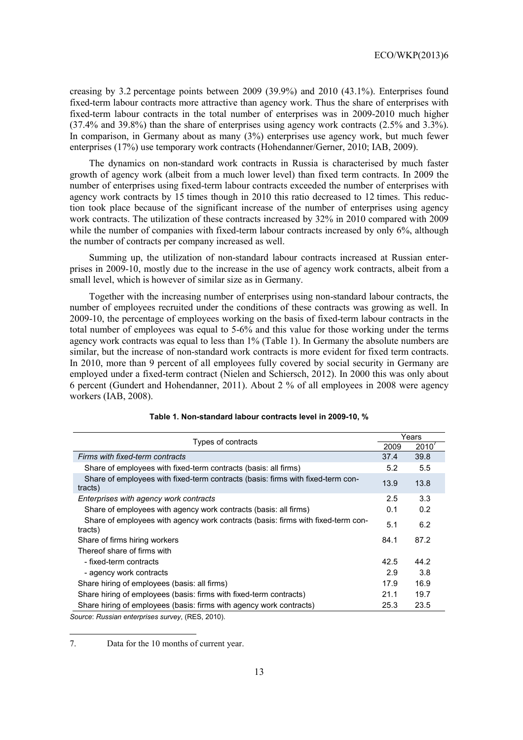creasing by 3.2 percentage points between 2009 (39.9%) and 2010 (43.1%). Enterprises found fixed-term labour contracts more attractive than agency work. Thus the share of enterprises with fixed-term labour contracts in the total number of enterprises was in 2009-2010 much higher (37.4% and 39.8%) than the share of enterprises using agency work contracts (2.5% and 3.3%). In comparison, in Germany about as many (3%) enterprises use agency work, but much fewer enterprises (17%) use temporary work contracts (Hohendanner/Gerner, 2010; IAB, 2009).

The dynamics on non-standard work contracts in Russia is characterised by much faster growth of agency work (albeit from a much lower level) than fixed term contracts. In 2009 the number of enterprises using fixed-term labour contracts exceeded the number of enterprises with agency work contracts by 15 times though in 2010 this ratio decreased to 12 times. This reduction took place because of the significant increase of the number of enterprises using agency work contracts. The utilization of these contracts increased by 32% in 2010 compared with 2009 while the number of companies with fixed-term labour contracts increased by only 6%, although the number of contracts per company increased as well.

Summing up, the utilization of non-standard labour contracts increased at Russian enterprises in 2009-10, mostly due to the increase in the use of agency work contracts, albeit from a small level, which is however of similar size as in Germany.

Together with the increasing number of enterprises using non-standard labour contracts, the number of employees recruited under the conditions of these contracts was growing as well. In 2009-10, the percentage of employees working on the basis of fixed-term labour contracts in the total number of employees was equal to 5-6% and this value for those working under the terms agency work contracts was equal to less than 1% (Table 1). In Germany the absolute numbers are similar, but the increase of non-standard work contracts is more evident for fixed term contracts. In 2010, more than 9 percent of all employees fully covered by social security in Germany are employed under a fixed-term contract (Nielen and Schiersch, 2012). In 2000 this was only about 6 percent (Gundert and Hohendanner, 2011). About 2 % of all employees in 2008 were agency workers (IAB, 2008).

| Types of contracts                                                                          |      | Years |  |
|---------------------------------------------------------------------------------------------|------|-------|--|
|                                                                                             | 2009 | 2010  |  |
| Firms with fixed-term contracts                                                             | 37.4 | 39.8  |  |
| Share of employees with fixed-term contracts (basis: all firms)                             | 5.2  | 5.5   |  |
| Share of employees with fixed-term contracts (basis: firms with fixed-term con-<br>tracts)  | 13.9 | 13.8  |  |
| Enterprises with agency work contracts                                                      | 2.5  | 3.3   |  |
| Share of employees with agency work contracts (basis: all firms)                            | 0.1  | 0.2   |  |
| Share of employees with agency work contracts (basis: firms with fixed-term con-<br>tracts) | 5.1  | 6.2   |  |
| Share of firms hiring workers                                                               | 84.1 | 87.2  |  |
| Thereof share of firms with                                                                 |      |       |  |
| - fixed-term contracts                                                                      | 42.5 | 44.2  |  |
| - agency work contracts                                                                     | 2.9  | 3.8   |  |
| Share hiring of employees (basis: all firms)                                                | 17.9 | 16.9  |  |
| Share hiring of employees (basis: firms with fixed-term contracts)                          | 21.1 | 19.7  |  |
| Share hiring of employees (basis: firms with agency work contracts)                         | 25.3 | 23.5  |  |

| Table 1. Non-standard labour contracts level in 2009-10, % |  |  |  |
|------------------------------------------------------------|--|--|--|
|------------------------------------------------------------|--|--|--|

*Source*: *Russian enterprises survey*, (RES, 2010).

l

7. Data for the 10 months of current year.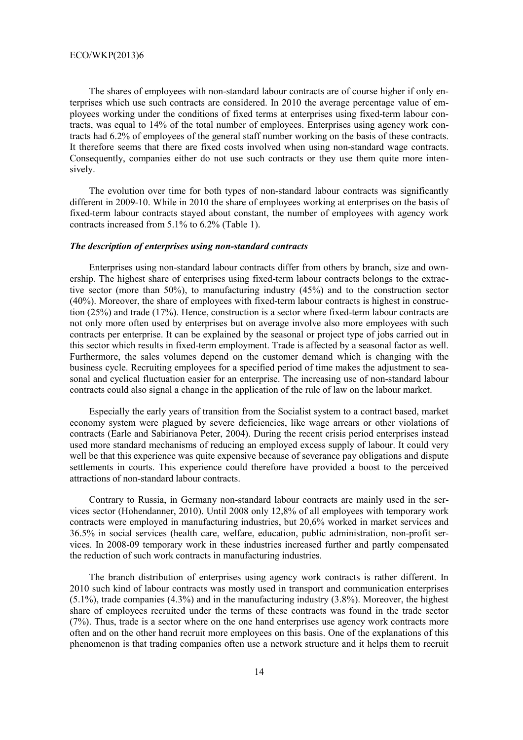The shares of employees with non-standard labour contracts are of course higher if only enterprises which use such contracts are considered. In 2010 the average percentage value of employees working under the conditions of fixed terms at enterprises using fixed-term labour contracts, was equal to 14% of the total number of employees. Enterprises using agency work contracts had 6.2% of employees of the general staff number working on the basis of these contracts. It therefore seems that there are fixed costs involved when using non-standard wage contracts. Consequently, companies either do not use such contracts or they use them quite more intensively.

The evolution over time for both types of non-standard labour contracts was significantly different in 2009-10. While in 2010 the share of employees working at enterprises on the basis of fixed-term labour contracts stayed about constant, the number of employees with agency work contracts increased from 5.1% to 6.2% (Table 1).

#### *The description of enterprises using non-standard contracts*

Enterprises using non-standard labour contracts differ from others by branch, size and ownership. The highest share of enterprises using fixed-term labour contracts belongs to the extractive sector (more than 50%), to manufacturing industry (45%) and to the construction sector (40%). Moreover, the share of employees with fixed-term labour contracts is highest in construction (25%) and trade (17%). Hence, construction is a sector where fixed-term labour contracts are not only more often used by enterprises but on average involve also more employees with such contracts per enterprise. It can be explained by the seasonal or project type of jobs carried out in this sector which results in fixed-term employment. Trade is affected by a seasonal factor as well. Furthermore, the sales volumes depend on the customer demand which is changing with the business cycle. Recruiting employees for a specified period of time makes the adjustment to seasonal and cyclical fluctuation easier for an enterprise. The increasing use of non-standard labour contracts could also signal a change in the application of the rule of law on the labour market.

Especially the early years of transition from the Socialist system to a contract based, market economy system were plagued by severe deficiencies, like wage arrears or other violations of contracts (Earle and Sabirianova Peter, 2004). During the recent crisis period enterprises instead used more standard mechanisms of reducing an employed excess supply of labour. It could very well be that this experience was quite expensive because of severance pay obligations and dispute settlements in courts. This experience could therefore have provided a boost to the perceived attractions of non-standard labour contracts.

Contrary to Russia, in Germany non-standard labour contracts are mainly used in the services sector (Hohendanner, 2010). Until 2008 only 12,8% of all employees with temporary work contracts were employed in manufacturing industries, but 20,6% worked in market services and 36.5% in social services (health care, welfare, education, public administration, non-profit services. In 2008-09 temporary work in these industries increased further and partly compensated the reduction of such work contracts in manufacturing industries.

The branch distribution of enterprises using agency work contracts is rather different. In 2010 such kind of labour contracts was mostly used in transport and communication enterprises (5.1%), trade companies (4.3%) and in the manufacturing industry (3.8%). Moreover, the highest share of employees recruited under the terms of these contracts was found in the trade sector (7%). Thus, trade is a sector where on the one hand enterprises use agency work contracts more often and on the other hand recruit more employees on this basis. One of the explanations of this phenomenon is that trading companies often use a network structure and it helps them to recruit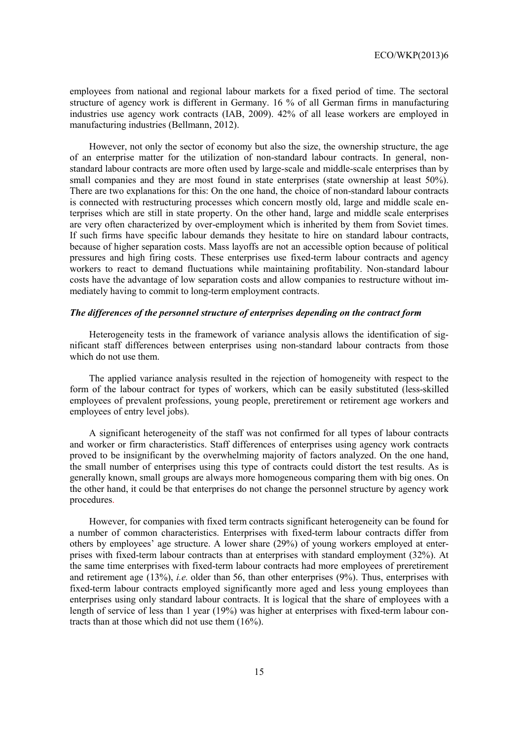employees from national and regional labour markets for a fixed period of time. The sectoral structure of agency work is different in Germany. 16 % of all German firms in manufacturing industries use agency work contracts (IAB, 2009). 42% of all lease workers are employed in manufacturing industries (Bellmann, 2012).

However, not only the sector of economy but also the size, the ownership structure, the age of an enterprise matter for the utilization of non-standard labour contracts. In general, nonstandard labour contracts are more often used by large-scale and middle-scale enterprises than by small companies and they are most found in state enterprises (state ownership at least 50%). There are two explanations for this: On the one hand, the choice of non-standard labour contracts is connected with restructuring processes which concern mostly old, large and middle scale enterprises which are still in state property. On the other hand, large and middle scale enterprises are very often characterized by over-employment which is inherited by them from Soviet times. If such firms have specific labour demands they hesitate to hire on standard labour contracts, because of higher separation costs. Mass layoffs are not an accessible option because of political pressures and high firing costs. These enterprises use fixed-term labour contracts and agency workers to react to demand fluctuations while maintaining profitability. Non-standard labour costs have the advantage of low separation costs and allow companies to restructure without immediately having to commit to long-term employment contracts.

#### *The differences of the personnel structure of enterprises depending on the contract form*

Heterogeneity tests in the framework of variance analysis allows the identification of significant staff differences between enterprises using non-standard labour contracts from those which do not use them.

The applied variance analysis resulted in the rejection of homogeneity with respect to the form of the labour contract for types of workers, which can be easily substituted (less-skilled employees of prevalent professions, young people, preretirement or retirement age workers and employees of entry level jobs).

A significant heterogeneity of the staff was not confirmed for all types of labour contracts and worker or firm characteristics. Staff differences of enterprises using agency work contracts proved to be insignificant by the overwhelming majority of factors analyzed. On the one hand, the small number of enterprises using this type of contracts could distort the test results. As is generally known, small groups are always more homogeneous comparing them with big ones. On the other hand, it could be that enterprises do not change the personnel structure by agency work procedures.

However, for companies with fixed term contracts significant heterogeneity can be found for a number of common characteristics. Enterprises with fixed-term labour contracts differ from others by employees' age structure. A lower share (29%) of young workers employed at enterprises with fixed-term labour contracts than at enterprises with standard employment (32%). At the same time enterprises with fixed-term labour contracts had more employees of preretirement and retirement age (13%), *i.e.* older than 56, than other enterprises (9%). Thus, enterprises with fixed-term labour contracts employed significantly more aged and less young employees than enterprises using only standard labour contracts. It is logical that the share of employees with a length of service of less than 1 year (19%) was higher at enterprises with fixed-term labour contracts than at those which did not use them (16%).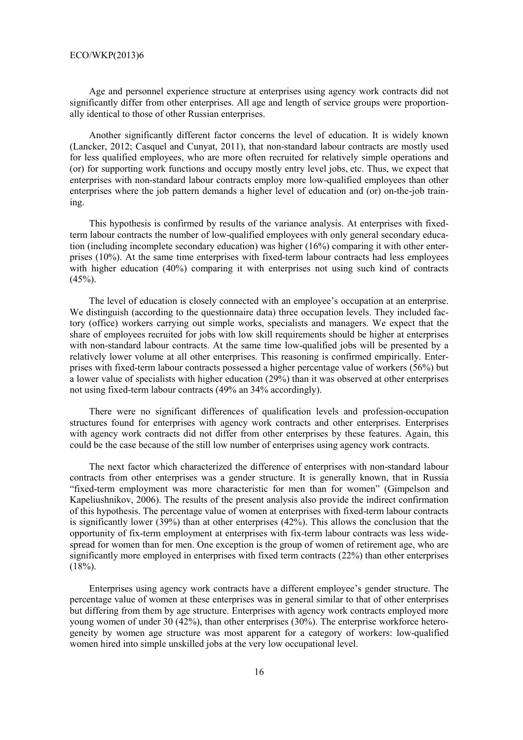Age and personnel experience structure at enterprises using agency work contracts did not significantly differ from other enterprises. All age and length of service groups were proportionally identical to those of other Russian enterprises.

Another significantly different factor concerns the level of education. It is widely known (Lancker, 2012; Casquel and Cunyat, 2011), that non-standard labour contracts are mostly used for less qualified employees, who are more often recruited for relatively simple operations and (or) for supporting work functions and occupy mostly entry level jobs, etc. Thus, we expect that enterprises with non-standard labour contracts employ more low-qualified employees than other enterprises where the job pattern demands a higher level of education and (or) on-the-job training.

This hypothesis is confirmed by results of the variance analysis. At enterprises with fixedterm labour contracts the number of low-qualified employees with only general secondary education (including incomplete secondary education) was higher (16%) comparing it with other enterprises (10%). At the same time enterprises with fixed-term labour contracts had less employees with higher education (40%) comparing it with enterprises not using such kind of contracts  $(45\%)$ .

The level of education is closely connected with an employee's occupation at an enterprise. We distinguish (according to the questionnaire data) three occupation levels. They included factory (office) workers carrying out simple works, specialists and managers. We expect that the share of employees recruited for jobs with low skill requirements should be higher at enterprises with non-standard labour contracts. At the same time low-qualified jobs will be presented by a relatively lower volume at all other enterprises. This reasoning is confirmed empirically. Enterprises with fixed-term labour contracts possessed a higher percentage value of workers (56%) but a lower value of specialists with higher education (29%) than it was observed at other enterprises not using fixed-term labour contracts (49% an 34% accordingly).

There were no significant differences of qualification levels and profession-occupation structures found for enterprises with agency work contracts and other enterprises. Enterprises with agency work contracts did not differ from other enterprises by these features. Again, this could be the case because of the still low number of enterprises using agency work contracts.

The next factor which characterized the difference of enterprises with non-standard labour contracts from other enterprises was a gender structure. It is generally known, that in Russia "fixed-term employment was more characteristic for men than for women" (Gimpelson and Kapeliushnikov, 2006). The results of the present analysis also provide the indirect confirmation of this hypothesis. The percentage value of women at enterprises with fixed-term labour contracts is significantly lower (39%) than at other enterprises (42%). This allows the conclusion that the opportunity of fix-term employment at enterprises with fix-term labour contracts was less widespread for women than for men. One exception is the group of women of retirement age, who are significantly more employed in enterprises with fixed term contracts (22%) than other enterprises  $(18\%)$ .

Enterprises using agency work contracts have a different employee's gender structure. The percentage value of women at these enterprises was in general similar to that of other enterprises but differing from them by age structure. Enterprises with agency work contracts employed more young women of under 30 (42%), than other enterprises (30%). The enterprise workforce heterogeneity by women age structure was most apparent for a category of workers: low-qualified women hired into simple unskilled jobs at the very low occupational level.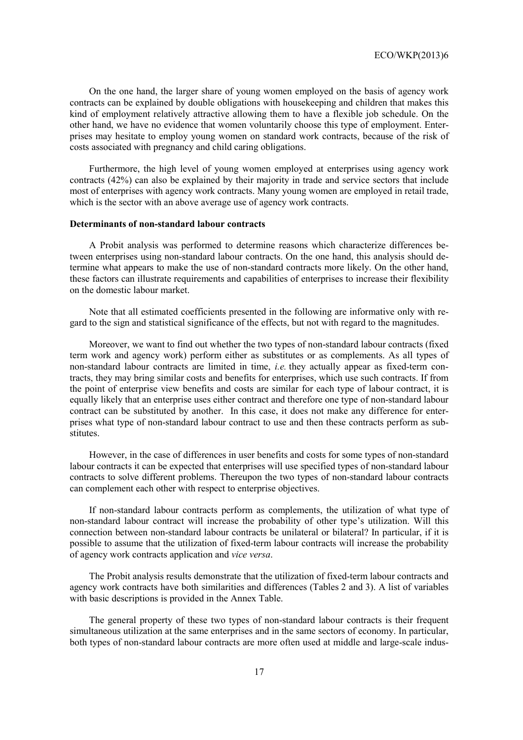On the one hand, the larger share of young women employed on the basis of agency work contracts can be explained by double obligations with housekeeping and children that makes this kind of employment relatively attractive allowing them to have a flexible job schedule. On the other hand, we have no evidence that women voluntarily choose this type of employment. Enterprises may hesitate to employ young women on standard work contracts, because of the risk of costs associated with pregnancy and child caring obligations.

Furthermore, the high level of young women employed at enterprises using agency work contracts (42%) can also be explained by their majority in trade and service sectors that include most of enterprises with agency work contracts. Many young women are employed in retail trade, which is the sector with an above average use of agency work contracts.

#### **Determinants of non-standard labour contracts**

A Probit analysis was performed to determine reasons which characterize differences between enterprises using non-standard labour contracts. On the one hand, this analysis should determine what appears to make the use of non-standard contracts more likely. On the other hand, these factors can illustrate requirements and capabilities of enterprises to increase their flexibility on the domestic labour market.

Note that all estimated coefficients presented in the following are informative only with regard to the sign and statistical significance of the effects, but not with regard to the magnitudes.

Moreover, we want to find out whether the two types of non-standard labour contracts (fixed term work and agency work) perform either as substitutes or as complements. As all types of non-standard labour contracts are limited in time, *i.e.* they actually appear as fixed-term contracts, they may bring similar costs and benefits for enterprises, which use such contracts. If from the point of enterprise view benefits and costs are similar for each type of labour contract, it is equally likely that an enterprise uses either contract and therefore one type of non-standard labour contract can be substituted by another. In this case, it does not make any difference for enterprises what type of non-standard labour contract to use and then these contracts perform as substitutes.

However, in the case of differences in user benefits and costs for some types of non-standard labour contracts it can be expected that enterprises will use specified types of non-standard labour contracts to solve different problems. Thereupon the two types of non-standard labour contracts can complement each other with respect to enterprise objectives.

If non-standard labour contracts perform as complements, the utilization of what type of non-standard labour contract will increase the probability of other type's utilization. Will this connection between non-standard labour contracts be unilateral or bilateral? In particular, if it is possible to assume that the utilization of fixed-term labour contracts will increase the probability of agency work contracts application and *vice versa*.

The Probit analysis results demonstrate that the utilization of fixed-term labour contracts and agency work contracts have both similarities and differences (Tables 2 and 3). A list of variables with basic descriptions is provided in the Annex Table.

The general property of these two types of non-standard labour contracts is their frequent simultaneous utilization at the same enterprises and in the same sectors of economy. In particular, both types of non-standard labour contracts are more often used at middle and large-scale indus-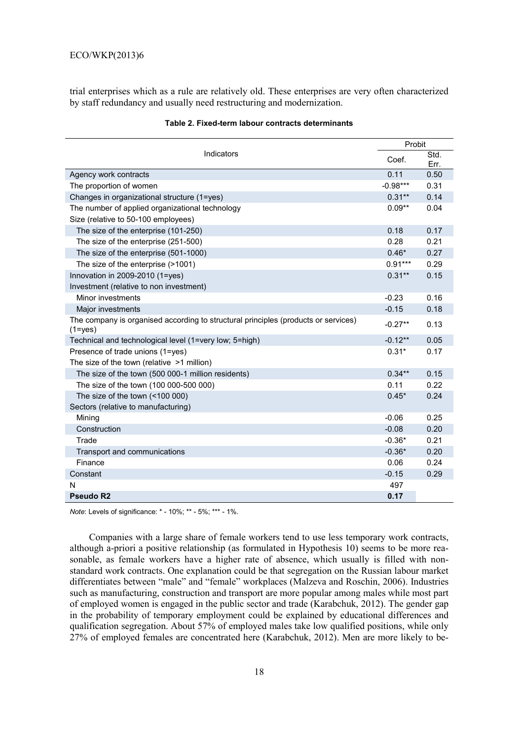trial enterprises which as a rule are relatively old. These enterprises are very often characterized by staff redundancy and usually need restructuring and modernization.

| Indicators                                                                                        |            | Probit       |  |
|---------------------------------------------------------------------------------------------------|------------|--------------|--|
|                                                                                                   |            | Std.<br>Err. |  |
| Agency work contracts                                                                             | 0.11       | 0.50         |  |
| The proportion of women                                                                           | $-0.98***$ | 0.31         |  |
| Changes in organizational structure (1=yes)                                                       | $0.31***$  | 0.14         |  |
| The number of applied organizational technology                                                   | $0.09**$   | 0.04         |  |
| Size (relative to 50-100 employees)                                                               |            |              |  |
| The size of the enterprise (101-250)                                                              | 0.18       | 0.17         |  |
| The size of the enterprise (251-500)                                                              | 0.28       | 0.21         |  |
| The size of the enterprise (501-1000)                                                             | $0.46*$    | 0.27         |  |
| The size of the enterprise (>1001)                                                                | $0.91***$  | 0.29         |  |
| Innovation in 2009-2010 (1=yes)                                                                   | $0.31**$   | 0.15         |  |
| Investment (relative to non investment)                                                           |            |              |  |
| Minor investments                                                                                 | $-0.23$    | 0.16         |  |
| Major investments                                                                                 | $-0.15$    | 0.18         |  |
| The company is organised according to structural principles (products or services)<br>$(1 = yes)$ | $-0.27**$  | 0.13         |  |
| Technical and technological level (1=very low; 5=high)                                            | $-0.12**$  | 0.05         |  |
| Presence of trade unions (1=yes)                                                                  | $0.31*$    | 0.17         |  |
| The size of the town (relative $>1$ million)                                                      |            |              |  |
| The size of the town (500 000-1 million residents)                                                | $0.34***$  | 0.15         |  |
| The size of the town (100 000-500 000)                                                            | 0.11       | 0.22         |  |
| The size of the town (<100 000)                                                                   | $0.45*$    | 0.24         |  |
| Sectors (relative to manufacturing)                                                               |            |              |  |
| Mining                                                                                            | $-0.06$    | 0.25         |  |
| Construction                                                                                      | $-0.08$    | 0.20         |  |
| Trade                                                                                             | $-0.36*$   | 0.21         |  |
| Transport and communications                                                                      | $-0.36*$   | 0.20         |  |
| Finance                                                                                           | 0.06       | 0.24         |  |
| Constant                                                                                          | $-0.15$    | 0.29         |  |
| N                                                                                                 | 497        |              |  |
| <b>Pseudo R2</b>                                                                                  | 0.17       |              |  |

| Table 2. Fixed-term labour contracts determinants |
|---------------------------------------------------|
|---------------------------------------------------|

*Note*: Levels of significance: \* - 10%; \*\* - 5%; \*\*\* - 1%.

Companies with a large share of female workers tend to use less temporary work contracts, although a-priori a positive relationship (as formulated in Hypothesis 10) seems to be more reasonable, as female workers have a higher rate of absence, which usually is filled with nonstandard work contracts. One explanation could be that segregation on the Russian labour market differentiates between "male" and "female" workplaces (Malzeva and Roschin, 2006). Industries such as manufacturing, construction and transport are more popular among males while most part of employed women is engaged in the public sector and trade (Karabchuk, 2012). The gender gap in the probability of temporary employment could be explained by educational differences and qualification segregation. About 57% of employed males take low qualified positions, while only 27% of employed females are concentrated here (Karabchuk, 2012). Men are more likely to be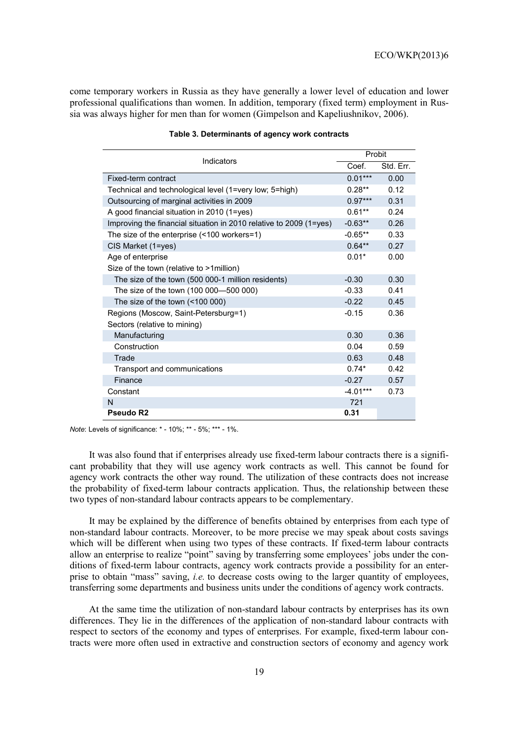come temporary workers in Russia as they have generally a lower level of education and lower professional qualifications than women. In addition, temporary (fixed term) employment in Russia was always higher for men than for women (Gimpelson and Kapeliushnikov, 2006).

| Indicators                                                         |            | Probit    |  |  |
|--------------------------------------------------------------------|------------|-----------|--|--|
|                                                                    |            | Std. Err. |  |  |
| Fixed-term contract                                                | $0.01***$  | 0.00      |  |  |
| Technical and technological level (1=very low; 5=high)             | $0.28**$   | 0.12      |  |  |
| Outsourcing of marginal activities in 2009                         | $0.97***$  | 0.31      |  |  |
| A good financial situation in 2010 (1=yes)                         | $0.61**$   | 0.24      |  |  |
| Improving the financial situation in 2010 relative to 2009 (1=yes) | $-0.63**$  | 0.26      |  |  |
| The size of the enterprise $($ < 100 workers=1)                    | $-0.65**$  | 0.33      |  |  |
| CIS Market (1=yes)                                                 | $0.64***$  | 0.27      |  |  |
| Age of enterprise                                                  | $0.01*$    | 0.00      |  |  |
| Size of the town (relative to >1million)                           |            |           |  |  |
| The size of the town (500 000-1 million residents)                 | $-0.30$    | 0.30      |  |  |
| The size of the town (100 000-500 000)                             | $-0.33$    | 0.41      |  |  |
| The size of the town $($ < 100 000 $)$                             | $-0.22$    | 0.45      |  |  |
| Regions (Moscow, Saint-Petersburg=1)                               | $-0.15$    | 0.36      |  |  |
| Sectors (relative to mining)                                       |            |           |  |  |
| Manufacturing                                                      | 0.30       | 0.36      |  |  |
| Construction                                                       | 0.04       | 0.59      |  |  |
| Trade                                                              | 0.63       | 0.48      |  |  |
| Transport and communications                                       | $0.74*$    | 0.42      |  |  |
| Finance                                                            | $-0.27$    | 0.57      |  |  |
| Constant                                                           | $-4.01***$ | 0.73      |  |  |
| N                                                                  | 721        |           |  |  |
| Pseudo R <sub>2</sub>                                              | 0.31       |           |  |  |

#### **Table 3. Determinants of agency work contracts**

*Note*: Levels of significance: \* - 10%; \*\* - 5%; \*\*\* - 1%.

It was also found that if enterprises already use fixed-term labour contracts there is a significant probability that they will use agency work contracts as well. This cannot be found for agency work contracts the other way round. The utilization of these contracts does not increase the probability of fixed-term labour contracts application. Thus, the relationship between these two types of non-standard labour contracts appears to be complementary.

It may be explained by the difference of benefits obtained by enterprises from each type of non-standard labour contracts. Moreover, to be more precise we may speak about costs savings which will be different when using two types of these contracts. If fixed-term labour contracts allow an enterprise to realize "point" saving by transferring some employees' jobs under the conditions of fixed-term labour contracts, agency work contracts provide a possibility for an enterprise to obtain "mass" saving, *i.e.* to decrease costs owing to the larger quantity of employees, transferring some departments and business units under the conditions of agency work contracts.

At the same time the utilization of non-standard labour contracts by enterprises has its own differences. They lie in the differences of the application of non-standard labour contracts with respect to sectors of the economy and types of enterprises. For example, fixed-term labour contracts were more often used in extractive and construction sectors of economy and agency work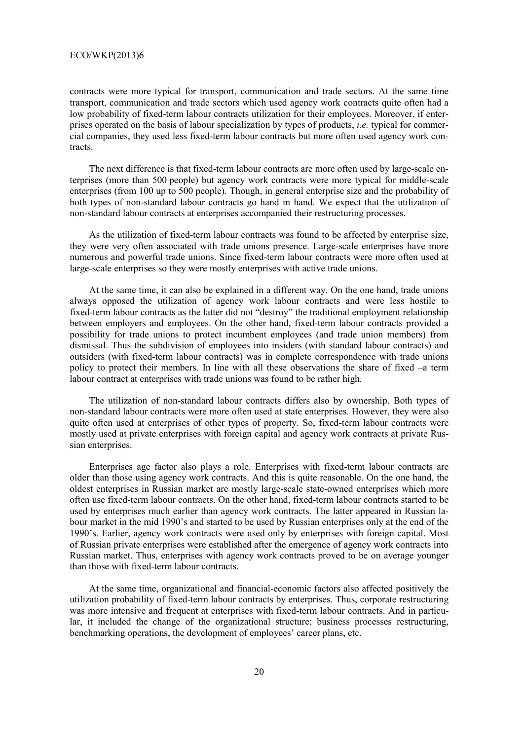contracts were more typical for transport, communication and trade sectors. At the same time transport, communication and trade sectors which used agency work contracts quite often had a low probability of fixed-term labour contracts utilization for their employees. Moreover, if enterprises operated on the basis of labour specialization by types of products, *i.e.* typical for commercial companies, they used less fixed-term labour contracts but more often used agency work contracts.

The next difference is that fixed-term labour contracts are more often used by large-scale enterprises (more than 500 people) but agency work contracts were more typical for middle-scale enterprises (from 100 up to 500 people). Though, in general enterprise size and the probability of both types of non-standard labour contracts go hand in hand. We expect that the utilization of non-standard labour contracts at enterprises accompanied their restructuring processes.

As the utilization of fixed-term labour contracts was found to be affected by enterprise size, they were very often associated with trade unions presence. Large-scale enterprises have more numerous and powerful trade unions. Since fixed-term labour contracts were more often used at large-scale enterprises so they were mostly enterprises with active trade unions.

At the same time, it can also be explained in a different way. On the one hand, trade unions always opposed the utilization of agency work labour contracts and were less hostile to fixed-term labour contracts as the latter did not "destroy" the traditional employment relationship between employers and employees. On the other hand, fixed-term labour contracts provided a possibility for trade unions to protect incumbent employees (and trade union members) from dismissal. Thus the subdivision of employees into insiders (with standard labour contracts) and outsiders (with fixed-term labour contracts) was in complete correspondence with trade unions policy to protect their members. In line with all these observations the share of fixed –a term labour contract at enterprises with trade unions was found to be rather high.

The utilization of non-standard labour contracts differs also by ownership. Both types of non-standard labour contracts were more often used at state enterprises. However, they were also quite often used at enterprises of other types of property. So, fixed-term labour contracts were mostly used at private enterprises with foreign capital and agency work contracts at private Russian enterprises.

Enterprises age factor also plays a role. Enterprises with fixed-term labour contracts are older than those using agency work contracts. And this is quite reasonable. On the one hand, the oldest enterprises in Russian market are mostly large-scale state-owned enterprises which more often use fixed-term labour contracts. On the other hand, fixed-term labour contracts started to be used by enterprises much earlier than agency work contracts. The latter appeared in Russian labour market in the mid 1990's and started to be used by Russian enterprises only at the end of the 1990's. Earlier, agency work contracts were used only by enterprises with foreign capital. Most of Russian private enterprises were established after the emergence of agency work contracts into Russian market. Thus, enterprises with agency work contracts proved to be on average younger than those with fixed-term labour contracts.

At the same time, organizational and financial-economic factors also affected positively the utilization probability of fixed-term labour contracts by enterprises. Thus, corporate restructuring was more intensive and frequent at enterprises with fixed-term labour contracts. And in particular, it included the change of the organizational structure; business processes restructuring, benchmarking operations, the development of employees' career plans, etc.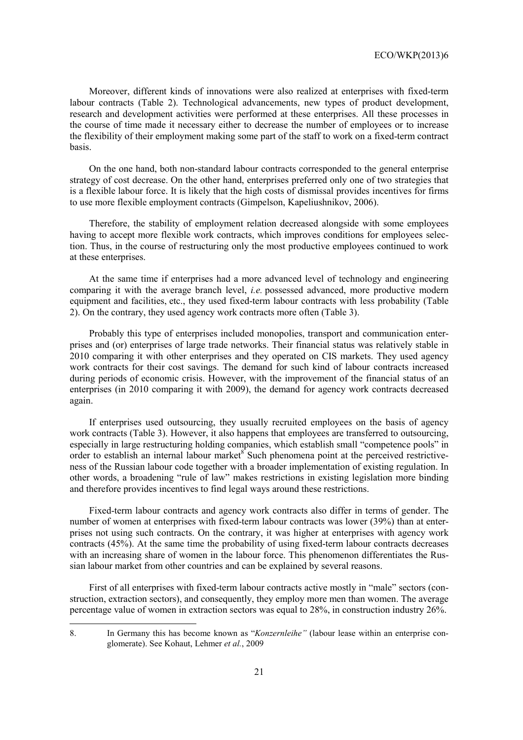Moreover, different kinds of innovations were also realized at enterprises with fixed-term labour contracts (Table 2). Technological advancements, new types of product development, research and development activities were performed at these enterprises. All these processes in the course of time made it necessary either to decrease the number of employees or to increase the flexibility of their employment making some part of the staff to work on a fixed-term contract basis.

On the one hand, both non-standard labour contracts corresponded to the general enterprise strategy of cost decrease. On the other hand, enterprises preferred only one of two strategies that is a flexible labour force. It is likely that the high costs of dismissal provides incentives for firms to use more flexible employment contracts (Gimpelson, Kapeliushnikov, 2006).

Therefore, the stability of employment relation decreased alongside with some employees having to accept more flexible work contracts, which improves conditions for employees selection. Thus, in the course of restructuring only the most productive employees continued to work at these enterprises.

At the same time if enterprises had a more advanced level of technology and engineering comparing it with the average branch level, *i.e.* possessed advanced, more productive modern equipment and facilities, etc., they used fixed-term labour contracts with less probability (Table 2). On the contrary, they used agency work contracts more often (Table 3).

Probably this type of enterprises included monopolies, transport and communication enterprises and (or) enterprises of large trade networks. Their financial status was relatively stable in 2010 comparing it with other enterprises and they operated on CIS markets. They used agency work contracts for their cost savings. The demand for such kind of labour contracts increased during periods of economic crisis. However, with the improvement of the financial status of an enterprises (in 2010 comparing it with 2009), the demand for agency work contracts decreased again.

If enterprises used outsourcing, they usually recruited employees on the basis of agency work contracts (Table 3). However, it also happens that employees are transferred to outsourcing, especially in large restructuring holding companies, which establish small "competence pools" in order to establish an internal labour market<sup>8</sup> Such phenomena point at the perceived restrictiveness of the Russian labour code together with a broader implementation of existing regulation. In other words, a broadening "rule of law" makes restrictions in existing legislation more binding and therefore provides incentives to find legal ways around these restrictions.

Fixed-term labour contracts and agency work contracts also differ in terms of gender. The number of women at enterprises with fixed-term labour contracts was lower (39%) than at enterprises not using such contracts. On the contrary, it was higher at enterprises with agency work contracts (45%). At the same time the probability of using fixed-term labour contracts decreases with an increasing share of women in the labour force. This phenomenon differentiates the Russian labour market from other countries and can be explained by several reasons.

First of all enterprises with fixed-term labour contracts active mostly in "male" sectors (construction, extraction sectors), and consequently, they employ more men than women. The average percentage value of women in extraction sectors was equal to 28%, in construction industry 26%.

 $\overline{a}$ 

<sup>8.</sup> In Germany this has become known as "*Konzernleihe"* (labour lease within an enterprise conglomerate). See Kohaut, Lehmer *et al.*, 2009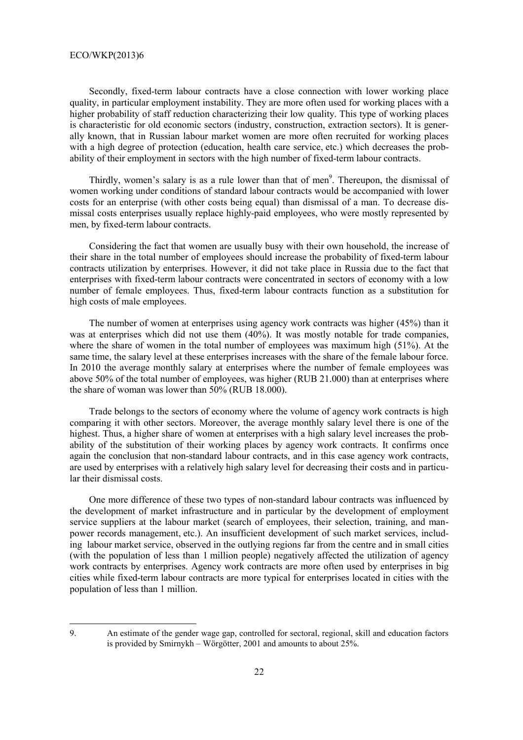Secondly, fixed-term labour contracts have a close connection with lower working place quality, in particular employment instability. They are more often used for working places with a higher probability of staff reduction characterizing their low quality. This type of working places is characteristic for old economic sectors (industry, construction, extraction sectors). It is generally known, that in Russian labour market women are more often recruited for working places with a high degree of protection (education, health care service, etc.) which decreases the probability of their employment in sectors with the high number of fixed-term labour contracts.

Thirdly, women's salary is as a rule lower than that of men<sup>9</sup>. Thereupon, the dismissal of women working under conditions of standard labour contracts would be accompanied with lower costs for an enterprise (with other costs being equal) than dismissal of a man. To decrease dismissal costs enterprises usually replace highly-paid employees, who were mostly represented by men, by fixed-term labour contracts.

Considering the fact that women are usually busy with their own household, the increase of their share in the total number of employees should increase the probability of fixed-term labour contracts utilization by enterprises. However, it did not take place in Russia due to the fact that enterprises with fixed-term labour contracts were concentrated in sectors of economy with a low number of female employees. Thus, fixed-term labour contracts function as a substitution for high costs of male employees.

The number of women at enterprises using agency work contracts was higher (45%) than it was at enterprises which did not use them (40%). It was mostly notable for trade companies, where the share of women in the total number of employees was maximum high (51%). At the same time, the salary level at these enterprises increases with the share of the female labour force. In 2010 the average monthly salary at enterprises where the number of female employees was above 50% of the total number of employees, was higher (RUB 21.000) than at enterprises where the share of woman was lower than 50% (RUB 18.000).

Trade belongs to the sectors of economy where the volume of agency work contracts is high comparing it with other sectors. Moreover, the average monthly salary level there is one of the highest. Thus, a higher share of women at enterprises with a high salary level increases the probability of the substitution of their working places by agency work contracts. It confirms once again the conclusion that non-standard labour contracts, and in this case agency work contracts, are used by enterprises with a relatively high salary level for decreasing their costs and in particular their dismissal costs.

One more difference of these two types of non-standard labour contracts was influenced by the development of market infrastructure and in particular by the development of employment service suppliers at the labour market (search of employees, their selection, training, and manpower records management, etc.). An insufficient development of such market services, including labour market service, observed in the outlying regions far from the centre and in small cities (with the population of less than 1 million people) negatively affected the utilization of agency work contracts by enterprises. Agency work contracts are more often used by enterprises in big cities while fixed-term labour contracts are more typical for enterprises located in cities with the population of less than 1 million.

 $\overline{a}$ 

<sup>9.</sup> An estimate of the gender wage gap, controlled for sectoral, regional, skill and education factors is provided by Smirnykh – Wörgötter, 2001 and amounts to about 25%.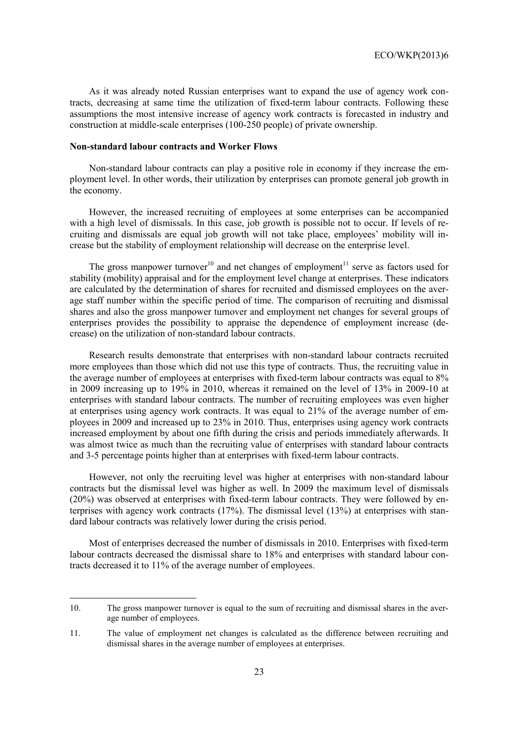As it was already noted Russian enterprises want to expand the use of agency work contracts, decreasing at same time the utilization of fixed-term labour contracts. Following these assumptions the most intensive increase of agency work contracts is forecasted in industry and construction at middle-scale enterprises (100-250 people) of private ownership.

#### **Non-standard labour contracts and Worker Flows**

Non-standard labour contracts can play a positive role in economy if they increase the employment level. In other words, their utilization by enterprises can promote general job growth in the economy.

However, the increased recruiting of employees at some enterprises can be accompanied with a high level of dismissals. In this case, job growth is possible not to occur. If levels of recruiting and dismissals are equal job growth will not take place, employees' mobility will increase but the stability of employment relationship will decrease on the enterprise level.

The gross manpower turnover<sup>10</sup> and net changes of employment<sup>11</sup> serve as factors used for stability (mobility) appraisal and for the employment level change at enterprises. These indicators are calculated by the determination of shares for recruited and dismissed employees on the average staff number within the specific period of time. The comparison of recruiting and dismissal shares and also the gross manpower turnover and employment net changes for several groups of enterprises provides the possibility to appraise the dependence of employment increase (decrease) on the utilization of non-standard labour contracts.

Research results demonstrate that enterprises with non-standard labour contracts recruited more employees than those which did not use this type of contracts. Thus, the recruiting value in the average number of employees at enterprises with fixed-term labour contracts was equal to 8% in 2009 increasing up to 19% in 2010, whereas it remained on the level of 13% in 2009-10 at enterprises with standard labour contracts. The number of recruiting employees was even higher at enterprises using agency work contracts. It was equal to 21% of the average number of employees in 2009 and increased up to 23% in 2010. Thus, enterprises using agency work contracts increased employment by about one fifth during the crisis and periods immediately afterwards. It was almost twice as much than the recruiting value of enterprises with standard labour contracts and 3-5 percentage points higher than at enterprises with fixed-term labour contracts.

However, not only the recruiting level was higher at enterprises with non-standard labour contracts but the dismissal level was higher as well. In 2009 the maximum level of dismissals (20%) was observed at enterprises with fixed-term labour contracts. They were followed by enterprises with agency work contracts (17%). The dismissal level (13%) at enterprises with standard labour contracts was relatively lower during the crisis period.

Most of enterprises decreased the number of dismissals in 2010. Enterprises with fixed-term labour contracts decreased the dismissal share to 18% and enterprises with standard labour contracts decreased it to 11% of the average number of employees.

l

<sup>10.</sup> The gross manpower turnover is equal to the sum of recruiting and dismissal shares in the average number of employees.

<sup>11.</sup> The value of employment net changes is calculated as the difference between recruiting and dismissal shares in the average number of employees at enterprises.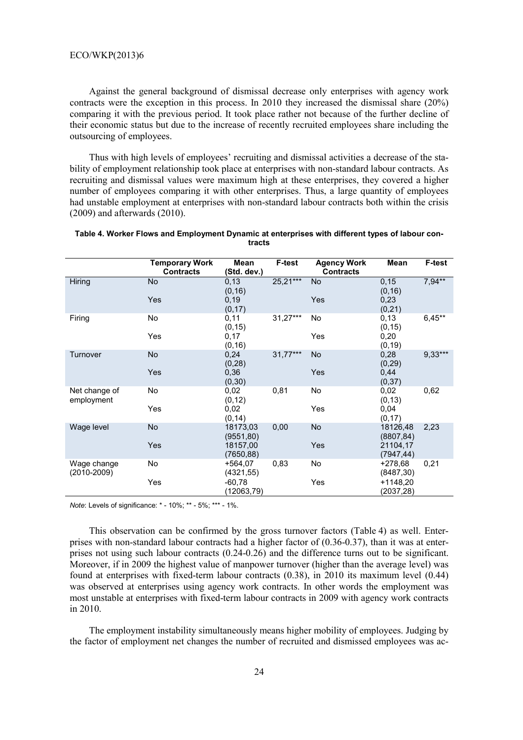Against the general background of dismissal decrease only enterprises with agency work contracts were the exception in this process. In 2010 they increased the dismissal share (20%) comparing it with the previous period. It took place rather not because of the further decline of their economic status but due to the increase of recently recruited employees share including the outsourcing of employees.

Thus with high levels of employees' recruiting and dismissal activities a decrease of the stability of employment relationship took place at enterprises with non-standard labour contracts. As recruiting and dismissal values were maximum high at these enterprises, they covered a higher number of employees comparing it with other enterprises. Thus, a large quantity of employees had unstable employment at enterprises with non-standard labour contracts both within the crisis (2009) and afterwards (2010).

|                                | <b>Temporary Work</b><br><b>Contracts</b> | Mean<br>(Std. dev.)    | <b>F-test</b> | <b>Agency Work</b><br><b>Contracts</b> | Mean                    | <b>F-test</b> |
|--------------------------------|-------------------------------------------|------------------------|---------------|----------------------------------------|-------------------------|---------------|
| Hiring                         | No                                        | 0,13<br>(0, 16)        | 25,21***      | No                                     | 0, 15<br>(0, 16)        | $7,94**$      |
|                                | <b>Yes</b>                                | 0, 19<br>(0, 17)       |               | <b>Yes</b>                             | 0,23<br>(0,21)          |               |
| Firing                         | <b>No</b>                                 | 0,11<br>(0, 15)        | 31,27***      | No.                                    | 0,13<br>(0, 15)         | $6,45**$      |
|                                | Yes                                       | 0,17<br>(0, 16)        |               | Yes                                    | 0,20<br>(0, 19)         |               |
| Turnover                       | No                                        | 0,24<br>(0, 28)        | 31,77***      | <b>No</b>                              | 0,28<br>(0, 29)         | $9,33***$     |
|                                | Yes                                       | 0,36<br>(0, 30)        |               | <b>Yes</b>                             | 0,44<br>(0, 37)         |               |
| Net change of<br>employment    | No                                        | 0,02<br>(0, 12)        | 0,81          | No                                     | 0,02<br>(0, 13)         | 0,62          |
|                                | Yes                                       | 0,02<br>(0, 14)        |               | Yes                                    | 0,04<br>(0, 17)         |               |
| Wage level                     | No                                        | 18173,03<br>(9551, 80) | 0,00          | <b>No</b>                              | 18126,48<br>(8807, 84)  | 2,23          |
|                                | Yes                                       | 18157,00<br>(7650, 88) |               | Yes                                    | 21104,17<br>(7947, 44)  |               |
| Wage change<br>$(2010 - 2009)$ | No                                        | $+564.07$<br>(4321,55) | 0,83          | No                                     | $+278.68$<br>(8487, 30) | 0,21          |
|                                | Yes                                       | $-60,78$<br>(12063,79) |               | Yes                                    | $+1148,20$<br>(2037,28) |               |

| Table 4. Worker Flows and Employment Dynamic at enterprises with different types of labour con- |
|-------------------------------------------------------------------------------------------------|
| tracts                                                                                          |

*Note*: Levels of significance: \* - 10%; \*\* - 5%; \*\*\* - 1%.

This observation can be confirmed by the gross turnover factors (Table 4) as well. Enterprises with non-standard labour contracts had a higher factor of (0.36-0.37), than it was at enterprises not using such labour contracts (0.24-0.26) and the difference turns out to be significant. Moreover, if in 2009 the highest value of manpower turnover (higher than the average level) was found at enterprises with fixed-term labour contracts (0.38), in 2010 its maximum level (0.44) was observed at enterprises using agency work contracts. In other words the employment was most unstable at enterprises with fixed-term labour contracts in 2009 with agency work contracts in 2010.

The employment instability simultaneously means higher mobility of employees. Judging by the factor of employment net changes the number of recruited and dismissed employees was ac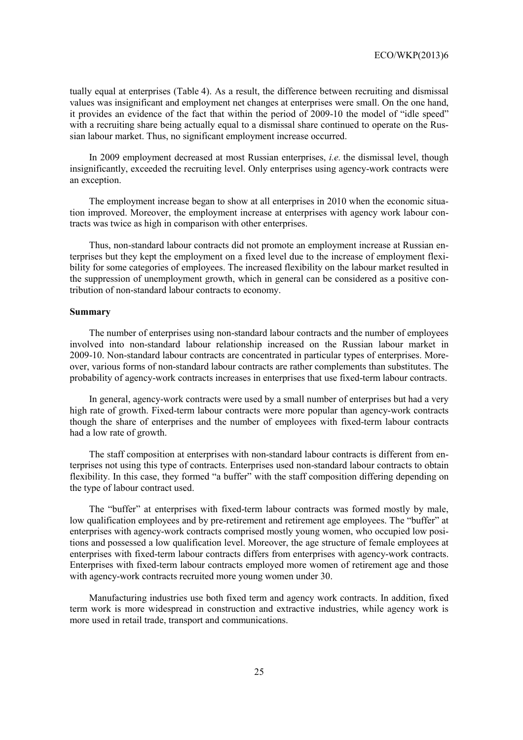tually equal at enterprises (Table 4). As a result, the difference between recruiting and dismissal values was insignificant and employment net changes at enterprises were small. On the one hand, it provides an evidence of the fact that within the period of 2009-10 the model of "idle speed" with a recruiting share being actually equal to a dismissal share continued to operate on the Russian labour market. Thus, no significant employment increase occurred.

In 2009 employment decreased at most Russian enterprises, *i.e.* the dismissal level, though insignificantly, exceeded the recruiting level. Only enterprises using agency-work contracts were an exception.

The employment increase began to show at all enterprises in 2010 when the economic situation improved. Moreover, the employment increase at enterprises with agency work labour contracts was twice as high in comparison with other enterprises.

Thus, non-standard labour contracts did not promote an employment increase at Russian enterprises but they kept the employment on a fixed level due to the increase of employment flexibility for some categories of employees. The increased flexibility on the labour market resulted in the suppression of unemployment growth, which in general can be considered as a positive contribution of non-standard labour contracts to economy.

## **Summary**

The number of enterprises using non-standard labour contracts and the number of employees involved into non-standard labour relationship increased on the Russian labour market in 2009-10. Non-standard labour contracts are concentrated in particular types of enterprises. Moreover, various forms of non-standard labour contracts are rather complements than substitutes. The probability of agency-work contracts increases in enterprises that use fixed-term labour contracts.

In general, agency-work contracts were used by a small number of enterprises but had a very high rate of growth. Fixed-term labour contracts were more popular than agency-work contracts though the share of enterprises and the number of employees with fixed-term labour contracts had a low rate of growth.

The staff composition at enterprises with non-standard labour contracts is different from enterprises not using this type of contracts. Enterprises used non-standard labour contracts to obtain flexibility. In this case, they formed "a buffer" with the staff composition differing depending on the type of labour contract used.

The "buffer" at enterprises with fixed-term labour contracts was formed mostly by male, low qualification employees and by pre-retirement and retirement age employees. The "buffer" at enterprises with agency-work contracts comprised mostly young women, who occupied low positions and possessed a low qualification level. Moreover, the age structure of female employees at enterprises with fixed-term labour contracts differs from enterprises with agency-work contracts. Enterprises with fixed-term labour contracts employed more women of retirement age and those with agency-work contracts recruited more young women under 30.

Manufacturing industries use both fixed term and agency work contracts. In addition, fixed term work is more widespread in construction and extractive industries, while agency work is more used in retail trade, transport and communications.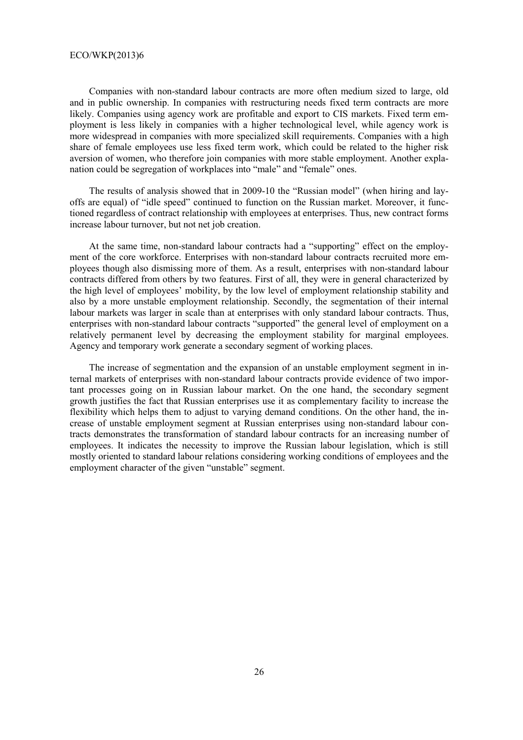Companies with non-standard labour contracts are more often medium sized to large, old and in public ownership. In companies with restructuring needs fixed term contracts are more likely. Companies using agency work are profitable and export to CIS markets. Fixed term employment is less likely in companies with a higher technological level, while agency work is more widespread in companies with more specialized skill requirements. Companies with a high share of female employees use less fixed term work, which could be related to the higher risk aversion of women, who therefore join companies with more stable employment. Another explanation could be segregation of workplaces into "male" and "female" ones.

The results of analysis showed that in 2009-10 the "Russian model" (when hiring and layoffs are equal) of "idle speed" continued to function on the Russian market. Moreover, it functioned regardless of contract relationship with employees at enterprises. Thus, new contract forms increase labour turnover, but not net job creation.

At the same time, non-standard labour contracts had a "supporting" effect on the employment of the core workforce. Enterprises with non-standard labour contracts recruited more employees though also dismissing more of them. As a result, enterprises with non-standard labour contracts differed from others by two features. First of all, they were in general characterized by the high level of employees' mobility, by the low level of employment relationship stability and also by a more unstable employment relationship. Secondly, the segmentation of their internal labour markets was larger in scale than at enterprises with only standard labour contracts. Thus, enterprises with non-standard labour contracts "supported" the general level of employment on a relatively permanent level by decreasing the employment stability for marginal employees. Agency and temporary work generate a secondary segment of working places.

The increase of segmentation and the expansion of an unstable employment segment in internal markets of enterprises with non-standard labour contracts provide evidence of two important processes going on in Russian labour market. On the one hand, the secondary segment growth justifies the fact that Russian enterprises use it as complementary facility to increase the flexibility which helps them to adjust to varying demand conditions. On the other hand, the increase of unstable employment segment at Russian enterprises using non-standard labour contracts demonstrates the transformation of standard labour contracts for an increasing number of employees. It indicates the necessity to improve the Russian labour legislation, which is still mostly oriented to standard labour relations considering working conditions of employees and the employment character of the given "unstable" segment.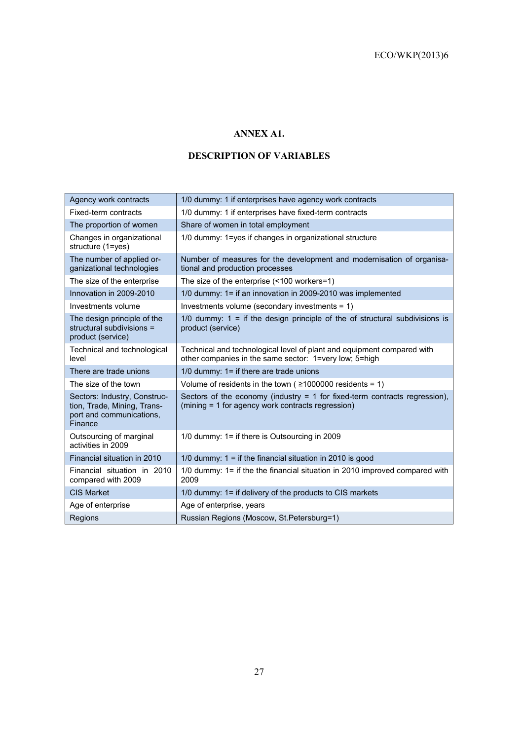# **ANNEX A1.**

# **DESCRIPTION OF VARIABLES**

| Agency work contracts                                                                              | 1/0 dummy: 1 if enterprises have agency work contracts                                                                            |
|----------------------------------------------------------------------------------------------------|-----------------------------------------------------------------------------------------------------------------------------------|
| Fixed-term contracts                                                                               | 1/0 dummy: 1 if enterprises have fixed-term contracts                                                                             |
| The proportion of women                                                                            | Share of women in total employment                                                                                                |
| Changes in organizational<br>structure (1=yes)                                                     | 1/0 dummy: 1=yes if changes in organizational structure                                                                           |
| The number of applied or-<br>ganizational technologies                                             | Number of measures for the development and modernisation of organisa-<br>tional and production processes                          |
| The size of the enterprise                                                                         | The size of the enterprise (<100 workers=1)                                                                                       |
| Innovation in 2009-2010                                                                            | 1/0 dummy: 1= if an innovation in 2009-2010 was implemented                                                                       |
| Investments volume                                                                                 | Investments volume (secondary investments = 1)                                                                                    |
| The design principle of the<br>structural subdivisions =<br>product (service)                      | 1/0 dummy: $1 =$ if the design principle of the of structural subdivisions is<br>product (service)                                |
| Technical and technological<br>level                                                               | Technical and technological level of plant and equipment compared with<br>other companies in the same sector: 1=very low; 5=high  |
| There are trade unions                                                                             | $1/0$ dummy: $1=$ if there are trade unions                                                                                       |
| The size of the town                                                                               | Volume of residents in the town ( $\geq$ 1000000 residents = 1)                                                                   |
| Sectors: Industry, Construc-<br>tion, Trade, Mining, Trans-<br>port and communications,<br>Finance | Sectors of the economy (industry $= 1$ for fixed-term contracts regression),<br>(mining = 1 for agency work contracts regression) |
| Outsourcing of marginal<br>activities in 2009                                                      | 1/0 dummy: $1 =$ if there is Outsourcing in 2009                                                                                  |
| Financial situation in 2010                                                                        | 1/0 dummy: $1 =$ if the financial situation in 2010 is good                                                                       |
| Financial situation in 2010<br>compared with 2009                                                  | 1/0 dummy: 1= if the the financial situation in 2010 improved compared with<br>2009                                               |
| <b>CIS Market</b>                                                                                  | 1/0 dummy: 1= if delivery of the products to CIS markets                                                                          |
| Age of enterprise                                                                                  | Age of enterprise, years                                                                                                          |
| Regions                                                                                            | Russian Regions (Moscow, St.Petersburg=1)                                                                                         |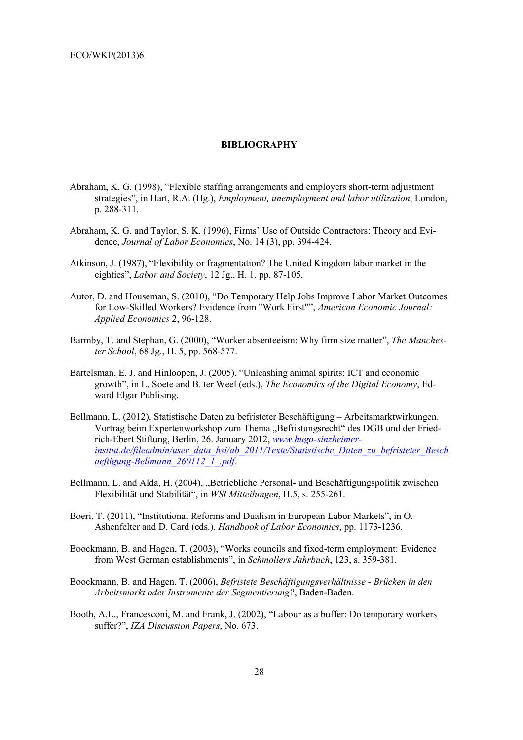#### **BIBLIOGRAPHY**

- Abraham, K. G. (1998), "Flexible staffing arrangements and employers short-term adjustment strategies", in Hart, R.A. (Hg.), *Employment, unemployment and labor utilization*, London, p. 288-311.
- Abraham, K. G. and Taylor, S. K. (1996), Firms' Use of Outside Contractors: Theory and Evidence, *Journal of Labor Economics*, No. 14 (3), pp. 394-424.
- Atkinson, J. (1987), "Flexibility or fragmentation? The United Kingdom labor market in the eighties", *Labor and Society*, 12 Jg., H. 1, pp. 87-105.
- Autor, D. and Houseman, S. (2010), "Do Temporary Help Jobs Improve Labor Market Outcomes for Low-Skilled Workers? Evidence from "Work First"", *American Economic Journal: Applied Economics* 2, 96-128.
- Barmby, T. and Stеphan, G. (2000), "Worker absenteeism: Why firm size matter", *The Manchester School*, 68 Jg., H. 5, pp. 568-577.
- Bartelsman, E. J. and Hinloopen, J. (2005), "Unleashing animal spirits: ICT and economic growth", in L. Soete and B. ter Weel (eds.), *The Economics of the Digital Economy*, Edward Elgar Publising.
- Bellmann, L. (2012), Statistische Daten zu befristeter Beschäftigung Arbeitsmarktwirkungen. Vortrag beim Expertenworkshop zum Thema "Befristungsrecht" des DGB und der Friedrich-Ebert Stiftung, Berlin, 26. January 2012, *www.hugo-sinzheimerinsttut.de/fileadmin/user\_data\_hsi/ab\_2011/Texte/Statistische\_Daten\_zu\_befristeter\_Besch aeftigung-Bellmann\_260112\_1\_.pdf.*
- Bellmann, L. and Alda, H. (2004), "Betriebliche Personal- und Beschäftigungspolitik zwischen Flexibilität und Stabilität", in *WSI Mitteilungen*, H.5, s. 255-261.
- Boeri, T. (2011), "Institutional Reforms and Dualism in European Labor Markets", in O. Ashenfelter and D. Card (eds.), *Handbook of Labor Economics*, pp. 1173-1236.
- Boockmann, B. and Hagen, T. (2003), "Works councils and fixed-term employment: Evidence from West German establishments", in *Schmollers Jahrbuch*, 123, s. 359-381.
- Boockmann, B. and Hagen, T. (2006), *Befristete Beschäftigungsverhältnisse Brücken in den Arbeitsmarkt oder Instrumente der Segmentierung?*, Baden-Baden.
- Booth, A.L., Francesconi, M. and Frank, J. (2002), "Labour as a buffer: Do temporary workers suffer?", *IZA Discussion Papers*, No. 673.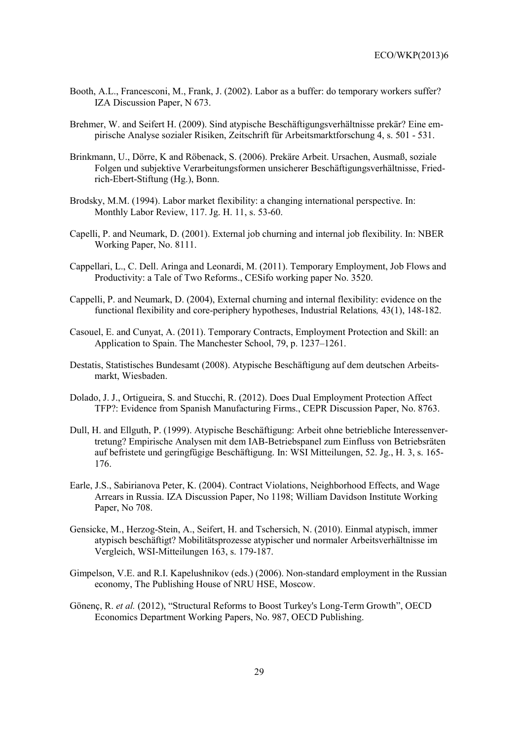- Booth, A.L., Francesconi, M., Frank, J. (2002). Labor as a buffer: do temporary workers suffer? IZA Discussion Paper, N 673.
- Brehmer, W. and Seifert H. (2009). Sind atypische Beschäftigungsverhältnisse prekär? Eine empirische Analyse sozialer Risiken, Zeitschrift für Arbeitsmarktforschung 4, s. 501 - 531.
- Brinkmann, U., Dörre, K and Röbenack, S. (2006). Prekäre Arbeit. Ursachen, Ausmaß, soziale Folgen und subjektive Verarbeitungsformen unsicherer Beschäftigungsverhältnisse, Friedrich-Ebert-Stiftung (Hg.), Bonn.
- Brodsky, M.M. (1994). Labor market flexibility: a changing international perspective. In: Monthly Labor Review, 117. Jg. H. 11, s. 53-60.
- Capelli, P. and Neumark, D. (2001). External job churning and internal job flexibility. In: NBER Working Paper, No. 8111.
- Cappellari, L., C. Dell. Aringa and Leonardi, M. (2011). Temporary Employment, Job Flows and Productivity: a Tale of Two Reforms., CESifo working paper No. 3520.
- Cappelli, P. and Neumark, D. (2004), External churning and internal flexibility: evidence on the functional flexibility and core-periphery hypotheses, Industrial Relations*,* 43(1), 148-182.
- Casouel, E. and Cunyat, A. (2011). Temporary Contracts, Employment Protection and Skill: an Application to Spain. The Manchester School, 79, p. 1237–1261.
- Destatis, Statistisches Bundesamt (2008). Atypische Beschäftigung auf dem deutschen Arbeitsmarkt, Wiesbaden.
- Dolado, J. J., Ortigueira, S. and Stucchi, R. (2012). Does Dual Employment Protection Affect TFP?: Evidence from Spanish Manufacturing Firms., CEPR Discussion Paper, No. 8763.
- Dull, H. and Ellguth, P. (1999). Atypische Beschäftigung: Arbeit ohne betriebliche Interessenvertretung? Empirische Analysen mit dem IAB-Betriebspanel zum Einfluss von Betriebsräten auf befristete und geringfügige Beschäftigung. In: WSI Mitteilungen, 52. Jg., H. 3, s. 165- 176.
- Earle, J.S., Sabirianova Peter, K. (2004). Contract Violations, Neighborhood Effects, and Wage Arrears in Russia. IZA Discussion Paper, No 1198; William Davidson Institute Working Paper, No 708.
- Gensicke, M., Herzog-Stein, A., Seifert, H. and Tschersich, N. (2010). Einmal atypisch, immer atypisch beschäftigt? Mobilitätsprozesse atypischer und normaler Arbeitsverhältnisse im Vergleich, WSI-Mitteilungen 163, s. 179-187.
- Gimpelson, V.E. and R.I. Kapelushnikov (eds.) (2006). Non-standard employment in the Russian economy, The Publishing House of NRU HSE, Moscow.
- Gönenç, R. *et al.* (2012), "Structural Reforms to Boost Turkey's Long-Term Growth", OECD Economics Department Working Papers, No. 987, OECD Publishing.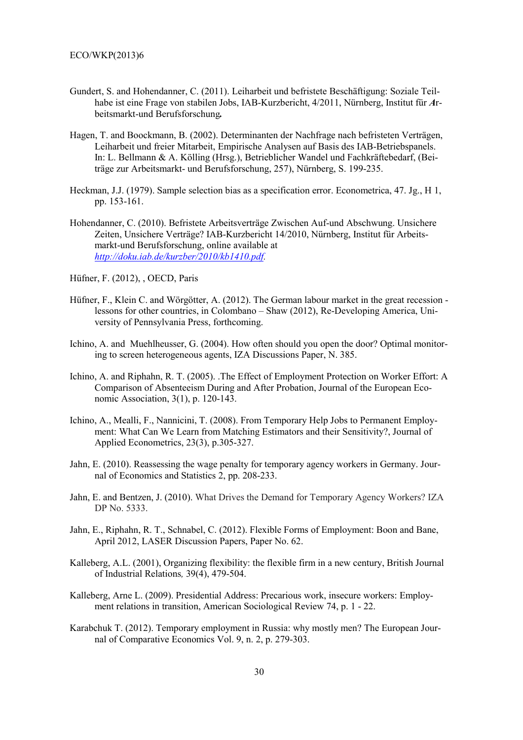- Gundert, S. and Hohendanner, C. (2011). Leiharbeit und befristete Beschäftigung: Soziale Teilhabe ist eine Frage von stabilen Jobs, IAB-Kurzbericht, 4/2011, Nürnberg, Institut für *A*rbeitsmarkt-und Berufsforschung*.*
- Hagen, T. and Boockmann, B. (2002). Determinanten der Nachfrage nach befristeten Verträgen, Leiharbeit und freier Mitarbeit, Empirische Analysen auf Basis des IAB-Betriebspanels. In: L. Bellmann & A. Kölling (Hrsg.), Betrieblicher Wandel und Fachkräftebedarf, (Beiträge zur Arbeitsmarkt- und Berufsforschung, 257), Nürnberg, S. 199-235.
- Heckman, J.J. (1979). Sample selection bias as a specification error. Econometrica, 47. Jg., H 1, pp. 153-161.
- Hohendanner, C. (2010). Befristete Arbeitsverträge Zwischen Auf-und Abschwung. Unsichere Zeiten, Unsichere Verträge? IAB-Kurzbericht 14/2010, Nürnberg, Institut für Arbeitsmarkt-und Berufsforschung, online available at *http://doku.iab.de/kurzber/2010/kb1410.pdf.*
- Hüfner, F. (2012), , OECD, Paris
- Hüfner, F., Klein C. and Wörgötter, A. (2012). The German labour market in the great recession lessons for other countries, in Colombano – Shaw (2012), Re-Developing America, University of Pennsylvania Press, forthcoming.
- Ichino, A. and Muehlheusser, G. (2004). How often should you open the door? Optimal monitoring to screen heterogeneous agents, IZA Discussions Paper, N. 385.
- Ichino, A. and Riphahn, R. T. (2005). .The Effect of Employment Protection on Worker Effort: A Comparison of Absenteeism During and After Probation, Journal of the European Economic Association, 3(1), p. 120-143.
- Ichino, A., Mealli, F., Nannicini, T. (2008). From Temporary Help Jobs to Permanent Employment: What Can We Learn from Matching Estimators and their Sensitivity?, Journal of Applied Econometrics, 23(3), p.305-327.
- Jahn, E. (2010). Reassessing the wage penalty for temporary agency workers in Germany. Journal of Economics and Statistics 2, pp. 208-233.
- Jahn, E. and Bentzen, J. (2010). What Drives the Demand for Temporary Agency Workers? IZA DP No. 5333.
- Jahn, E., Riphahn, R. T., Schnabel, C. (2012). Flexible Forms of Employment: Boon and Bane, April 2012, LASER Discussion Papers, Paper No. 62.
- Kalleberg, A.L. (2001), Organizing flexibility: the flexible firm in a new century, British Journal of Industrial Relations*,* 39(4), 479-504.
- Kalleberg, Arne L. (2009). Presidential Address: Precarious work, insecure workers: Employment relations in transition, American Sociological Review 74, p. 1 - 22.
- Karabchuk T. (2012). Temporary employment in Russia: why mostly men? The European Journal of Comparative Economics Vol. 9, n. 2, p. 279-303.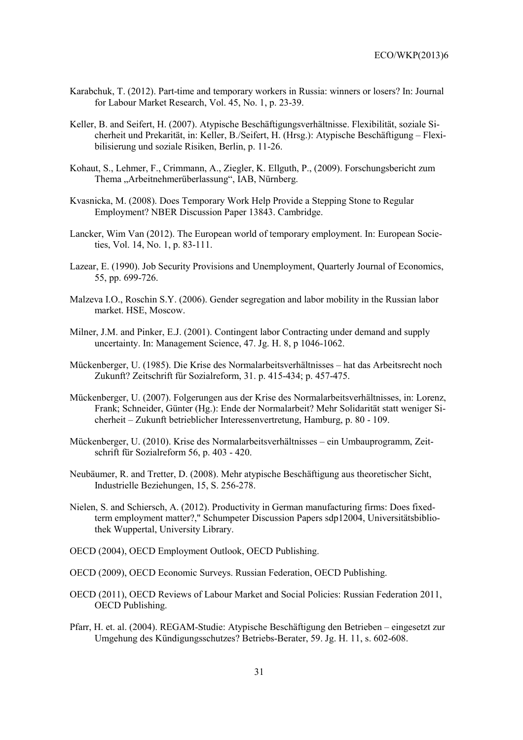- Karabchuk, T. (2012). Part-time and temporary workers in Russia: winners or losers? In: Journal for Labour Market Research, Vol. 45, No. 1, p. 23-39.
- Keller, B. and Seifert, H. (2007). Atypische Beschäftigungsverhältnisse. Flexibilität, soziale Sicherheit und Prekarität, in: Keller, B./Seifert, H. (Hrsg.): Atypische Beschäftigung – Flexibilisierung und soziale Risiken, Berlin, p. 11-26.
- Kohaut, S., Lehmer, F., Crimmann, A., Ziegler, K. Ellguth, P., (2009). Forschungsbericht zum Thema "Arbeitnehmerüberlassung", IAB, Nürnberg.
- Kvasnicka, M. (2008). Does Temporary Work Help Provide a Stepping Stone to Regular Employment? NBER Discussion Paper 13843. Cambridge.
- Lancker, Wim Van (2012). The European world of temporary employment. In: European Societies, Vol. 14, No. 1, p. 83-111.
- Lazear, E. (1990). Job Security Provisions and Unemployment, Quarterly Journal of Economics, 55, pp. 699-726.
- Malzeva I.O., Roschin S.Y. (2006). Gender segregation and labor mobility in the Russian labor market. HSE, Moscow.
- Milner, J.M. and Pinker, E.J. (2001). Contingent labor Contracting under demand and supply uncertainty. In: Management Science, 47. Jg. H. 8, p 1046-1062.
- Mückenberger, U. (1985). Die Krise des Normalarbeitsverhältnisses hat das Arbeitsrecht noch Zukunft? Zeitschrift für Sozialreform, 31. p. 415-434; p. 457-475.
- Mückenberger, U. (2007). Folgerungen aus der Krise des Normalarbeitsverhältnisses, in: Lorenz, Frank; Schneider, Günter (Hg.): Ende der Normalarbeit? Mehr Solidarität statt weniger Sicherheit – Zukunft betrieblicher Interessenvertretung, Hamburg, p. 80 - 109.
- Mückenberger, U. (2010). Krise des Normalarbeitsverhältnisses ein Umbauprogramm, Zeitschrift für Sozialreform 56, p. 403 - 420.
- Neubäumer, R. and Tretter, D. (2008). Mehr atypische Beschäftigung aus theoretischer Sicht, Industrielle Beziehungen, 15, S. 256-278.
- Nielen, S. and Schiersch, A. (2012). Productivity in German manufacturing firms: Does fixedterm employment matter?," Schumpeter Discussion Papers sdp12004, Universitätsbibliothek Wuppertal, University Library.
- OECD (2004), OECD Employment Outlook, OECD Publishing.
- OECD (2009), OECD Economic Surveys. Russian Federation, OECD Publishing.
- OECD (2011), OECD Reviews of Labour Market and Social Policies: Russian Federation 2011, OECD Publishing.
- Pfarr, H. et. al. (2004). REGAM-Studie: Atypische Beschäftigung den Betrieben eingesetzt zur Umgehung des Kündigungsschutzes? Betriebs-Berater, 59. Jg. H. 11, s. 602-608.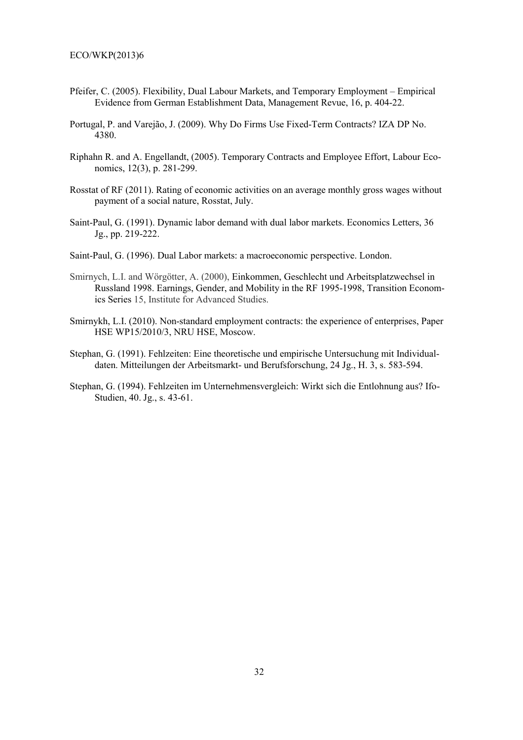- Pfeifer, C. (2005). Flexibility, Dual Labour Markets, and Temporary Employment Empirical Evidence from German Establishment Data, Management Revue, 16, p. 404-22.
- Portugal, P. and Varejão, J. (2009). Why Do Firms Use Fixed-Term Contracts? IZA DP No. 4380.
- Riphahn R. and A. Engellandt, (2005). Temporary Contracts and Employee Effort, Labour Economics, 12(3), p. 281-299.
- Rosstat of RF (2011). Rating of economic activities on an average monthly gross wages without payment of a social nature, Rosstat, July.
- Saint-Paul, G. (1991). Dynamic labor demand with dual labor markets. Economics Letters, 36 Jg., pp. 219-222.
- Saint-Paul, G. (1996). Dual Labor markets: a macroeconomic perspective. London.
- Smirnych, L.I. and Wörgötter, A. (2000), Einkommen, Geschlecht und Arbeitsplatzwechsel in Russland 1998. Earnings, Gender, and Mobility in the RF 1995-1998, Transition Economics Series 15, Institute for Advanced Studies.
- Smirnykh, L.I. (2010). Non-standard employment contracts: the experience of enterprises, Paper HSE WP15/2010/3, NRU HSE, Moscow.
- Stephan, G. (1991). Fehlzeiten: Eine theoretische und empirische Untersuchung mit Individualdaten. Mitteilungen der Arbeitsmarkt- und Berufsforschung, 24 Jg., H. 3, s. 583-594.
- Stephan, G. (1994). Fehlzeiten im Unternehmensvergleich: Wirkt sich die Entlohnung aus? Ifo-Studien, 40. Jg., s. 43-61.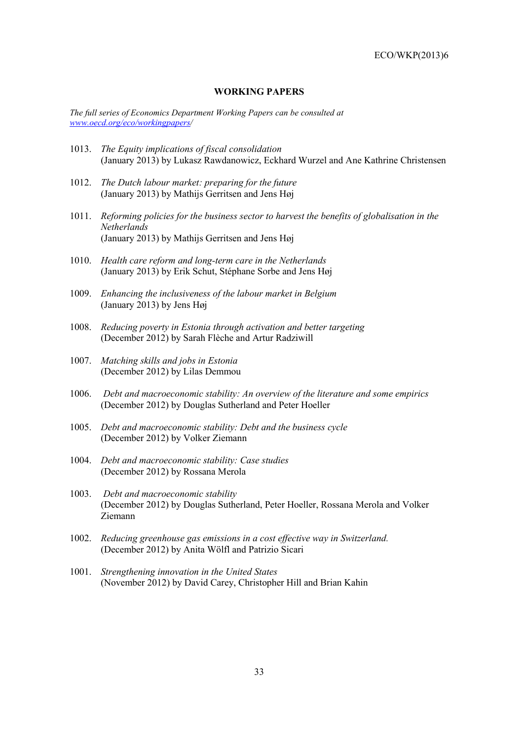# **WORKING PAPERS**

*The full series of Economics Department Working Papers can be consulted at www.oecd.org/eco/workingpapers/* 

- 1013. *The Equity implications of fiscal consolidation*  (January 2013) by Lukasz Rawdanowicz, Eckhard Wurzel and Ane Kathrine Christensen
- 1012. *The Dutch labour market: preparing for the future*  (January 2013) by Mathijs Gerritsen and Jens Høj
- 1011. *Reforming policies for the business sector to harvest the benefits of globalisation in the Netherlands*  (January 2013) by Mathijs Gerritsen and Jens Høj
- 1010. *Health care reform and long-term care in the Netherlands*  (January 2013) by Erik Schut, Stéphane Sorbe and Jens Høj
- 1009. *Enhancing the inclusiveness of the labour market in Belgium*  (January 2013) by Jens Høj
- 1008. *Reducing poverty in Estonia through activation and better targeting* (December 2012) by Sarah Flèche and Artur Radziwill
- 1007. *Matching skills and jobs in Estonia* (December 2012) by Lilas Demmou
- 1006. *Debt and macroeconomic stability: An overview of the literature and some empirics*  (December 2012) by Douglas Sutherland and Peter Hoeller
- 1005. *Debt and macroeconomic stability: Debt and the business cycle*  (December 2012) by Volker Ziemann
- 1004. *Debt and macroeconomic stability: Case studies* (December 2012) by Rossana Merola
- 1003. *Debt and macroeconomic stability*  (December 2012) by Douglas Sutherland, Peter Hoeller, Rossana Merola and Volker Ziemann
- 1002. *Reducing greenhouse gas emissions in a cost effective way in Switzerland.*  (December 2012) by Anita Wölfl and Patrizio Sicari
- 1001. *Strengthening innovation in the United States* (November 2012) by David Carey, Christopher Hill and Brian Kahin